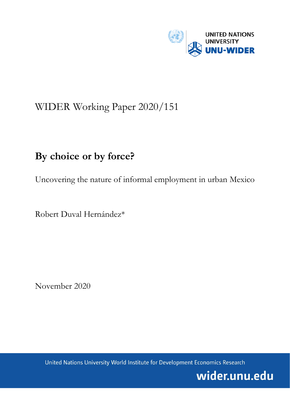

# WIDER Working Paper 2020/151

# **By choice or by force?**

Uncovering the nature of informal employment in urban Mexico

Robert Duval Hernández\*

November 2020

United Nations University World Institute for Development Economics Research

wider.unu.edu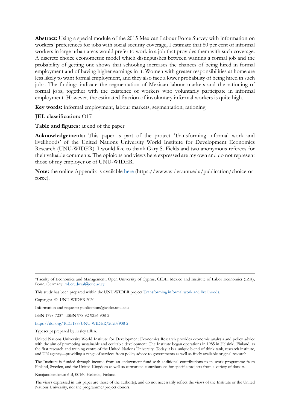**Abstract:** Using a special module of the 2015 Mexican Labour Force Survey with information on workers' preferences for jobs with social security coverage, I estimate that 80 per cent of informal workers in large urban areas would prefer to work in a job that provides them with such coverage. A discrete choice econometric model which distinguishes between wanting a formal job and the probability of getting one shows that schooling increases the chances of being hired in formal employment and of having higher earnings in it. Women with greater responsibilities at home are less likely to want formal employment, and they also face a lower probability of being hired in such jobs. The findings indicate the segmentation of Mexican labour markets and the rationing of formal jobs, together with the existence of workers who voluntarily participate in informal employment. However, the estimated fraction of involuntary informal workers is quite high.

**Key words:** informal employment, labour markets, segmentation, rationing

# **JEL classification:** O17

**Table and figures:** at end of the paper

**Acknowledgements:** This paper is part of the project 'Transforming informal work and livelihoods' of the United Nations University World Institute for Development Economics Research (UNU-WIDER). I would like to thank Gary S. Fields and two anonymous referees for their valuable comments. The opinions and views here expressed are my own and do not represent those of my employer or of UNU-WIDER.

**Note:** the online Appendix is available [here](file://hq-hel-fs01/group/PUBLI/WORKING%20PAPERS/3%20WPs%20returned%20to%20be%20read%20and%20numbered/here) (https://www.wider.unu.edu/publication/choice-orforce).

This study has been prepared within the UNU-WIDER projec[t Transforming informal work and livelihoods.](https://www.wider.unu.edu/node/187589)

Copyright © UNU-WIDER 2020

Information and requests: publications@wider.unu.edu

ISSN 1798-7237 ISBN 978-92-9256-908-2

<https://doi.org/10.35188/UNU-WIDER/2020/908-2>

Typescript prepared by Lesley Ellen.

United Nations University World Institute for Development Economics Research provides economic analysis and policy advice with the aim of promoting sustainable and equitable development. The Institute began operations in 1985 in Helsinki, Finland, as the first research and training centre of the United Nations University. Today it is a unique blend of think tank, research institute, and UN agency—providing a range of services from policy advice to governments as well as freely available original research.

The Institute is funded through income from an endowment fund with additional contributions to its work programme from Finland, Sweden, and the United Kingdom as well as earmarked contributions for specific projects from a variety of donors.

Katajanokanlaituri 6 B, 00160 Helsinki, Finland

The views expressed in this paper are those of the author(s), and do not necessarily reflect the views of the Institute or the United Nations University, nor the programme/project donors.

<sup>\*</sup>Faculty of Economics and Management, Open University of Cyprus, CIDE, Mexico and Institute of Labor Economics (IZA), Bonn, Germany; [robert.duval@ouc.ac.cy](mailto:robert.duval@ouc.ac.cy)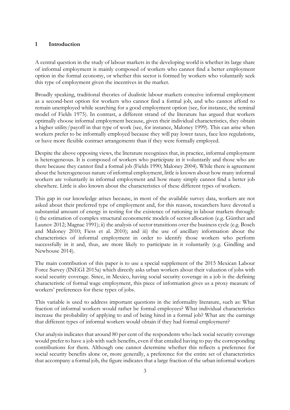### **1 Introduction**

A central question in the study of labour markets in the developing world is whether its large share of informal employment is mainly composed of workers who cannot find a better employment option in the formal economy, or whether this sector is formed by workers who voluntarily seek this type of employment given the incentives in the market.

Broadly speaking, traditional theories of dualistic labour markets conceive informal employment as a second-best option for workers who cannot find a formal job, and who cannot afford to remain unemployed while searching for a good employment option (see, for instance, the seminal model of Fields 1975). In contrast, a different strand of the literature has argued that workers optimally choose informal employment because, given their individual characteristics, they obtain a higher utility/payoff in that type of work (see, for instance, Maloney 1999). This can arise when workers prefer to be informally employed because they will pay lower taxes, face less regulations, or have more flexible contract arrangements than if they were formally employed.

Despite the above opposing views, the literature recognizes that, in practice, informal employment is heterogeneous. It is composed of workers who participate in it voluntarily and those who are there because they cannot find a formal job (Fields 1990; Maloney 2004). While there is agreement about the heterogeneous nature of informal employment, little is known about how many informal workers are voluntarily in informal employment and how many simply cannot find a better job elsewhere. Little is also known about the characteristics of these different types of workers.

This gap in our knowledge arises because, in most of the available survey data, workers are not asked about their preferred type of employment and, for this reason, researchers have devoted a substantial amount of energy in testing for the existence of rationing in labour markets through: i) the estimation of complex structural econometric models of sector allocation (e.g. Günther and Launov 2012; Magnac 1991); ii) the analysis of sector transitions over the business cycle (e.g. Bosch and Maloney 2010; Fiess et al. 2010); and iii) the use of ancillary information about the characteristics of informal employment in order to identify those workers who perform successfully in it and, thus, are more likely to participate in it voluntarily (e.g. Gindling and Newhouse 2014).

The main contribution of this paper is to use a special supplement of the 2015 Mexican Labour Force Survey (INEGI 2015a) which directly asks urban workers about their valuation of jobs with social security coverage. Since, in Mexico, having social security coverage in a job is the defining characteristic of formal wage employment, this piece of information gives us a proxy measure of workers' preferences for these types of jobs.

This variable is used to address important questions in the informality literature, such as: What fraction of informal workers would rather be formal employees? What individual characteristics increase the probability of applying to and of being hired in a formal job? What are the earnings that different types of informal workers would obtain if they had formal employment?

Our analysis indicates that around 80 per cent of the respondents who lack social security coverage would prefer to have a job with such benefits, even if that entailed having to pay the corresponding contributions for them. Although one cannot determine whether this reflects a preference for social security benefits alone or, more generally, a preference for the entire set of characteristics that accompany a formal job, the figure indicates that a large fraction of the urban informal workers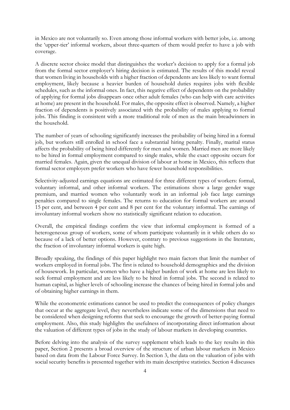in Mexico are not voluntarily so. Even among those informal workers with better jobs, i.e. among the 'upper-tier' informal workers, about three-quarters of them would prefer to have a job with coverage.

A discrete sector choice model that distinguishes the worker's decision to apply for a formal job from the formal sector employer's hiring decision is estimated. The results of this model reveal that women living in households with a higher fraction of dependents are less likely to want formal employment, likely because a heavier burden of household duties requires jobs with flexible schedules, such as the informal ones. In fact, this negative effect of dependents on the probability of applying for formal jobs disappears once other adult females (who can help with care activities at home) are present in the household. For males, the opposite effect is observed. Namely, a higher fraction of dependents is positively associated with the probability of males applying to formal jobs. This finding is consistent with a more traditional role of men as the main breadwinners in the household.

The number of years of schooling significantly increases the probability of being hired in a formal job, but workers still enrolled in school face a substantial hiring penalty. Finally, marital status affects the probability of being hired differently for men and women. Married men are more likely to be hired in formal employment compared to single males, while the exact opposite occurs for married females. Again, given the unequal division of labour at home in Mexico, this reflects that formal sector employers prefer workers who have fewer household responsibilities.

Selectivity-adjusted earnings equations are estimated for three different types of workers: formal, voluntary informal, and other informal workers. The estimations show a large gender wage premium, and married women who voluntarily work in an informal job face large earnings penalties compared to single females. The returns to education for formal workers are around 15 per cent, and between 4 per cent and 8 per cent for the voluntary informal. The earnings of involuntary informal workers show no statistically significant relation to education.

Overall, the empirical findings confirm the view that informal employment is formed of a heterogeneous group of workers, some of whom participate voluntarily in it while others do so because of a lack of better options. However, contrary to previous suggestions in the literature, the fraction of involuntary informal workers is quite high.

Broadly speaking, the findings of this paper highlight two main factors that limit the number of workers employed in formal jobs. The first is related to household demographics and the division of housework. In particular, women who have a higher burden of work at home are less likely to seek formal employment and are less likely to be hired in formal jobs. The second is related to human capital, as higher levels of schooling increase the chances of being hired in formal jobs and of obtaining higher earnings in them.

While the econometric estimations cannot be used to predict the consequences of policy changes that occur at the aggregate level, they nevertheless indicate some of the dimensions that need to be considered when designing reforms that seek to encourage the growth of better-paying formal employment. Also, this study highlights the usefulness of incorporating direct information about the valuation of different types of jobs in the study of labour markets in developing countries.

Before delving into the analysis of the survey supplement which leads to the key results in this paper, Section [2](#page-4-0) presents a broad overview of the structure of urban labour markets in Mexico based on data from the Labour Force Survey. In Section [3,](#page-6-0) the data on the valuation of jobs with social security benefits is presented together with its main descriptive statistics. Section [4](#page-12-0) discusses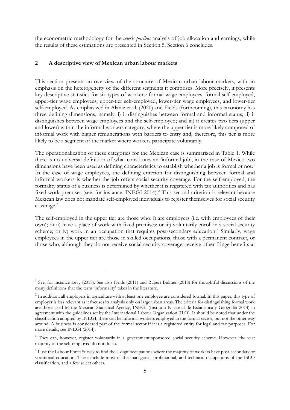the econometric methodology for the *ceteris paribus* analysis of job allocation and earnings, while the results of these estimations are presented in Section [5.](#page-15-0) Section [6](#page-18-0) concludes.

### <span id="page-4-0"></span>**2 A descriptive view of Mexican urban labour markets**

This section presents an overview of the structure of Mexican urban labour markets, with an emphasis on the heterogeneity of the different segments it comprises. More precisely, it presents key descriptive statistics for six types of workers: formal wage employees, formal self-employed, upper-tier wage employees, upper-tier self-employed, lower-tier wage employees, and lower-tier self-employed. As emphasized in Alaniz et al. (2020) and Fields (forthcoming), this taxonomy has three defining dimensions, namely: i) it distinguishes between formal and informal status; ii) it distinguishes between wage employees and the self-employed; and iii) it creates two tiers (upper and lower) within the informal workers category, where the upper tier is more likely composed of informal work with higher remunerations with barriers to entry and, therefore, this tier is more likely to be a segment of the market where workers participate voluntarily.

The operationalization of these categories for the Mexican case is summarized in [Table 1.](#page-21-0) While there is no universal definition of what constitutes an 'informal job', in the case of Mexico two dimensions have been used as defining characteristics to establish whether a job is formal or not.<sup>[1](#page-4-1)</sup> In the case of wage employees, the defining criterion for distinguishing between formal and informal workers is whether the job offers social security coverage. For the self-employed, the formality status of a business is determined by whether it is registered with tax authorities and has fixed work premises (see, for instance, INEGI [2](#page-4-2)014).<sup>2</sup> This second criterion is relevant because Mexican law does not mandate self-employed individuals to register themselves for social security coverage.[3](#page-4-3)

The self-employed in the upper tier are those who: i) are employers (i.e. with employees of their own); or ii) have a place of work with fixed premises; or iii) voluntarily enroll in a social security scheme; or iv) work in an occupation that requires post-secondary education.<sup>[4](#page-4-4)</sup> Similarly, wage employees in the upper tier are those in skilled occupations, those with a permanent contract, or those who, although they do not receive social security coverage, receive other fringe benefits at

<span id="page-4-1"></span> $1$  See, for instance Levy (2018). See also Fields (2011) and Rupert Bulmer (2018) for thoughtful discussions of the many definitions that the term 'informality' takes in the literature.

<span id="page-4-2"></span><sup>&</sup>lt;sup>2</sup> In addition, all employers in agriculture with at least one employee are considered formal. In this paper, this type of employer is less relevant as it focuses its analysis only on large urban areas. The criteria for distinguishing formal work are those used by the Mexican Statistical Agency, INEGI (Instituto Nacional de Estadística y Geografía 2014) in agreement with the guidelines set by the International Labour Organization (ILO). It should be noted that under the classification adopted by INEGI, there can be informal workers employed in the formal sector, but not the other way around. A business is considered part of the formal sector if it is a registered entity for legal and tax purposes. For more details, see INEGI (2014).

<span id="page-4-3"></span><sup>&</sup>lt;sup>3</sup> They can, however, register voluntarily in a government-sponsored social security scheme. However, the vast majority of the self-employed do not do so.

<span id="page-4-4"></span><sup>&</sup>lt;sup>4</sup> I use the Labour Force Survey to find the 4-digit occupations where the majority of workers have post-secondary or vocational education. These include most of the managerial, professional, and technical occupations of the ISCO classification, and a few select others.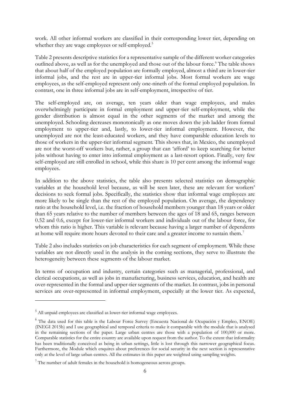work. All other informal workers are classified in their corresponding lower tier, depending on whether they are wage employees or self-employed.<sup>[5](#page-5-0)</sup>

[Table 2](#page-22-0) presents descriptive statistics for a representative sample of the different worker categories outlined above, as well as for the unemployed and those out of the labour force.<sup>[6](#page-5-1)</sup> The table shows that about half of the employed population are formally employed, almost a third are in lower-tier informal jobs, and the rest are in upper-tier informal jobs. Most formal workers are wage employees, as the self-employed represent only one-nineth of the formal employed population. In contrast, one in three informal jobs are in self-employment, irrespective of tier.

The self-employed are, on average, ten years older than wage employees, and males overwhelmingly participate in formal employment and upper-tier self-employment, while the gender distribution is almost equal in the other segments of the market and among the unemployed. Schooling decreases monotonically as one moves down the job ladder from formal employment to upper-tier and, lastly, to lower-tier informal employment. However, the unemployed are not the least-educated workers, and they have comparable education levels to those of workers in the upper-tier informal segment. This shows that, in Mexico, the unemployed are not the worst-off workers but, rather, a group that can 'afford' to keep searching for better jobs without having to enter into informal employment as a last-resort option. Finally, very few self-employed are still enrolled in school, while this share is 10 per cent among the informal wage employees.

In addition to the above statistics, the table also presents selected statistics on demographic variables at the household level because, as will be seen later, these are relevant for workers' decisions to seek formal jobs. Specifically, the statistics show that informal wage employees are more likely to be single than the rest of the employed population. On average, the dependency ratio at the household level, i.e. the fraction of household members younger than 18 years or older than 65 years relative to the number of members between the ages of 18 and 65, ranges between 0.52 and 0.6, except for lower-tier informal workers and individuals out of the labour force, for whom this ratio is higher. This variable is relevant because having a larger number of dependents at home will require more hours devoted to their care and a greater income to sustain them.[7](#page-5-2)

Table 2 also includes statistics on job characteristics for each segment of employment. While these variables are not directly used in the analysis in the coming sections, they serve to illustrate the heterogeneity between these segments of the labour market.

In terms of occupation and industry, certain categories such as managerial, professional, and clerical occupations, as well as jobs in manufacturing, business services, education, and health are over-represented in the formal and upper-tier segments of the market. In contrast, jobs in personal services are over-represented in informal employment, especially at the lower tier. As expected,

<span id="page-5-0"></span><sup>5</sup> All unpaid employees are classified as lower-tier informal wage employees.

<span id="page-5-1"></span><sup>6</sup> The data used for this table is the Labour Force Survey (Encuesta Nacional de Ocupación y Empleo, ENOE) (INEGI 2015b) and I use geographical and temporal criteria to make it comparable with the module that is analysed in the remaining sections of the paper. Large urban centres are those with a population of 100,000 or more. Comparable statistics for the entire country are available upon request from the author. To the extent that informality has been traditionally conceived as being in urban settings, little is lost through this narrower geographical focus. Furthermore, the Module which enquires about preferences for social security in the next section is representative only at the level of large urban centres. All the estimates in this paper are weighted using sampling weights.

<span id="page-5-2"></span> $7$  The number of adult females in the household is homogeneous across groups.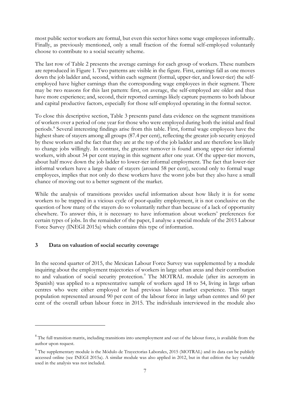most public sector workers are formal, but even this sector hires some wage employees informally. Finally, as previously mentioned, only a small fraction of the formal self-employed voluntarily choose to contribute to a social security scheme.

The last row of Table 2 presents the average earnings for each group of workers. These numbers are reproduced in [Figure 1.](#page-23-0) Two patterns are visible in the figure. First, earnings fall as one moves down the job ladder and, second, within each segment (formal, upper-tier, and lower-tier) the selfemployed have higher earnings than the corresponding wage employees in their segment. There may be two reasons for this last pattern: first, on average, the self-employed are older and thus have more experience; and, second, their reported earnings likely capture payments to both labour and capital productive factors, especially for those self-employed operating in the formal sector.

To close this descriptive section, [Table 3](#page-23-1) presents panel data evidence on the segment transitions of workers over a period of one year for those who were employed during both the initial and final periods.[8](#page-6-1) Several interesting findings arise from this table. First, formal wage employees have the highest share of stayers among all groups (87.4 per cent), reflecting the greater job security enjoyed by these workers and the fact that they are at the top of the job ladder and are therefore less likely to change jobs willingly. In contrast, the greatest turnover is found among upper-tier informal workers, with about 34 per cent staying in this segment after one year. Of the upper-tier movers, about half move down the job ladder to lower-tier informal employment. The fact that lower-tier informal workers have a large share of stayers (around 58 per cent), second only to formal wage employees, implies that not only do these workers have the worst jobs but they also have a small chance of moving out to a better segment of the market.

While the analysis of transitions provides useful information about how likely it is for some workers to be trapped in a vicious cycle of poor-quality employment, it is not conclusive on the question of how many of the stayers do so voluntarily rather than because of a lack of opportunity elsewhere. To answer this, it is necessary to have information about workers' preferences for certain types of jobs. In the remainder of the paper, I analyse a special module of the 2015 Labour Force Survey (INEGI 2015a) which contains this type of information.

## <span id="page-6-0"></span>**3 Data on valuation of social security coverage**

In the second quarter of 2015, the Mexican Labour Force Survey was supplemented by a module inquiring about the employment trajectories of workers in large urban areas and their contribution to and valuation of social security protection.<sup>[9](#page-6-2)</sup> The MOTRAL module (after its acronym in Spanish) was applied to a representative sample of workers aged 18 to 54, living in large urban centres who were either employed or had previous labour market experience. This target population represented around 90 per cent of the labour force in large urban centres and 60 per cent of the overall urban labour force in 2015. The individuals interviewed in the module also

<span id="page-6-1"></span><sup>&</sup>lt;sup>8</sup> The full transition matrix, including transitions into unemployment and out of the labour force, is available from the author upon request.

<span id="page-6-2"></span><sup>&</sup>lt;sup>9</sup> The supplementary module is the Módulo de Trayectorias Laborales, 2015 (MOTRAL) and its data can be publicly accessed online (see INEGI 2015a). A similar module was also applied in 2012, but in that edition the key variable used in the analysis was not included.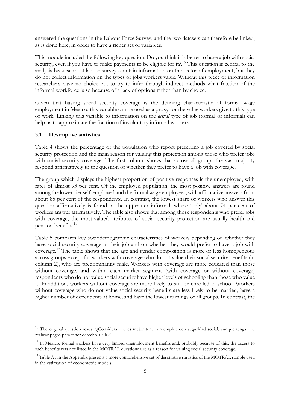answered the questions in the Labour Force Survey, and the two datasets can therefore be linked, as is done here, in order to have a richer set of variables.

This module included the following key question: Do you think it is better to have a job with social security, even if you have to make payments to be eligible for it?<sup>[10](#page-7-0)</sup> This question is central to the analysis because most labour surveys contain information on the sector of employment, but they do not collect information on the types of jobs workers value. Without this piece of information researchers have no choice but to try to infer through indirect methods what fraction of the informal workforce is so because of a lack of options rather than by choice.

Given that having social security coverage is the defining characteristic of formal wage employment in Mexico, this variable can be used as a proxy for the value workers give to this type of work. Linking this variable to information on the *actual* type of job (formal or informal) can help us to approximate the fraction of involuntary informal workers.

#### **3.1 Descriptive statistics**

[Table 4](#page-24-0) shows the percentage of the population who report preferring a job covered by social security protection and the main reason for valuing this protection among those who prefer jobs with social security coverage. The first column shows that across all groups the vast majority respond affirmatively to the question of whether they prefer to have a job with coverage.

The group which displays the highest proportion of positive responses is the unemployed, with rates of almost 93 per cent. Of the employed population, the most positive answers are found among the lower-tier self-employed and the formal wage employees, with affirmative answers from about 85 per cent of the respondents. In contrast, the lowest share of workers who answer this question affirmatively is found in the upper-tier informal, where 'only' about 74 per cent of workers answer affirmatively. The table also shows that among those respondents who prefer jobs with coverage, the most-valued attributes of social security protection are usually health and pension benefits.<sup>11</sup>

[Table 5](#page-24-1) compares key sociodemographic characteristics of workers depending on whether they have social security coverage in their job and on whether they would prefer to have a job with coverage. [12](#page-7-2) The table shows that the age and gender composition is more or less homogeneous across groups except for workers with coverage who do not value their social security benefits (in column 2), who are predominantly male. Workers with coverage are more educated than those without coverage, and within each market segment (with coverage or without coverage) respondents who do not value social security have higher levels of schooling than those who value it. In addition, workers without coverage are more likely to still be enrolled in school. Workers without coverage who do not value social security benefits are less likely to be married, have a higher number of dependents at home, and have the lowest earnings of all groups. In contrast, the

<span id="page-7-0"></span><sup>&</sup>lt;sup>10</sup> The original question reads: '¿Considera que es mejor tener un empleo con seguridad social, aunque tenga que realizar pagos para tener derecho a ella?'.

<span id="page-7-1"></span> $11$  In Mexico, formal workers have very limited unemployment benefits and, probably because of this, the access to such benefits was not listed in the MOTRAL questionnaire as a reason for valuing social security coverage.

<span id="page-7-2"></span><sup>&</sup>lt;sup>12</sup> Table A1 in the Appendix presents a more comprehensive set of descriptive statistics of the MOTRAL sample used in the estimation of econometric models.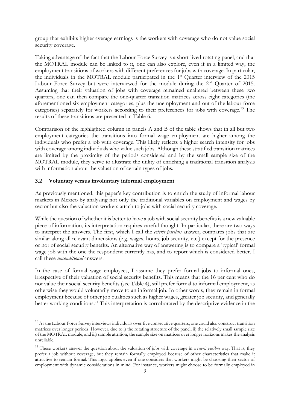group that exhibits higher average earnings is the workers with coverage who do not value social security coverage.

Taking advantage of the fact that the Labour Force Survey is a short-lived rotating panel, and that the MOTRAL module can be linked to it, one can also explore, even if in a limited way, the employment transitions of workers with different preferences for jobs with coverage. In particular, the individuals in the MOTRAL module participated in the 1st Quarter interview of the 2015 Labour Force Survey but were interviewed for the module during the 2<sup>nd</sup> Quarter of 2015. Assuming that their valuation of jobs with coverage remained unaltered between these two quarters, one can then compare the one-quarter transition matrices across eight categories (the aforementioned six employment categories, plus the unemployment and out of the labour force categories) separately for workers according to their preferences for jobs with coverage. [13](#page-8-0) The results of these transitions are presented in [Table 6.](#page-26-0)

Comparison of the highlighted column in panels A and B of the table shows that in all but two employment categories the transitions into formal wage employment are higher among the individuals who prefer a job with coverage. This likely reflects a higher search intensity for jobs with coverage among individuals who value such jobs. Although these stratified transition matrices are limited by the proximity of the periods considered and by the small sample size of the MOTRAL module, they serve to illustrate the utility of enriching a traditional transition analysis with information about the valuation of certain types of jobs.

## **3.2 Voluntary versus involuntary informal employment**

As previously mentioned, this paper's key contribution is to enrich the study of informal labour markets in Mexico by analysing not only the traditional variables on employment and wages by sector but also the valuation workers attach to jobs with social security coverage.

While the question of whether it is better to have a job with social security benefits is a new valuable piece of information, its interpretation requires careful thought. In particular, there are two ways to interpret the answers. The first, which I call the *ceteris paribus* answer, compares jobs that are similar along all relevant dimensions (e.g. wages, hours, job security, etc.) except for the presence or not of social security benefits. An alternative way of answering is to compare a 'typical' formal wage job with the one the respondent currently has, and to report which is considered better. I call these *unconditional* answers.

In the case of formal wage employees, I assume they prefer formal jobs to informal ones, irrespective of their valuation of social security benefits. This means that the 16 per cent who do not value their social security benefits (see [Table 4\)](#page-24-0), still prefer formal to informal employment, as otherwise they would voluntarily move to an informal job. In other words, they remain in formal employment because of other job qualities such as higher wages, greater job security, and generally better working conditions.<sup>[14](#page-8-1)</sup> This interpretation is corroborated by the descriptive evidence in the

<span id="page-8-0"></span><sup>&</sup>lt;sup>13</sup> As the Labour Force Survey interviews individuals over five consecutive quarters, one could also construct transition matrices over longer periods. However, due to i) the rotating structure of the panel, ii) the relatively small sample size of the MOTRAL module, and iii) sample attrition, the sample size on matrices over longer horizons makes the analysis unreliable.

<span id="page-8-1"></span><sup>&</sup>lt;sup>14</sup> These workers answer the question about the valuation of jobs with coverage in a *ceteris paribus* way. That is, they prefer a job without coverage, but they remain formally employed because of other characteristics that make it attractive to remain formal. This logic applies even if one considers that workers might be choosing their sector of employment with dynamic considerations in mind. For instance, workers might choose to be formally employed in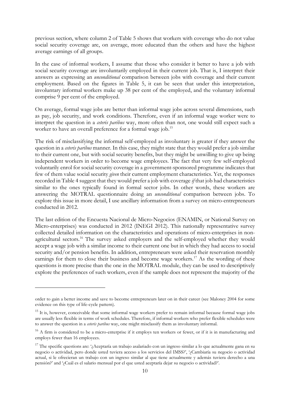previous section, where column 2 of [Table 5](#page-24-1) shows that workers with coverage who do not value social security coverage are, on average, more educated than the others and have the highest average earnings of all groups.

In the case of informal workers, I assume that those who consider it better to have a job with social security coverage are involuntarily employed in their current job. That is, I interpret their answers as expressing an *unconditional* comparison between jobs with coverage and their current employment. Based on the figures in [Table 5,](#page-24-1) it can be seen that under this interpretation, involuntary informal workers make up 38 per cent of the employed, and the voluntary informal comprise 9 per cent of the employed.

On average, formal wage jobs are better than informal wage jobs across several dimensions, such as pay, job security, and work conditions. Therefore, even if an informal wage worker were to interpret the question in a *ceteris paribus* way, more often than not, one would still expect such a worker to have an overall preference for a formal wage job.<sup>[15](#page-9-0)</sup>

The risk of misclassifying the informal self-employed as involuntary is greater if they answer the question in a *ceteris paribus* manner. In this case, they might state that they would prefer a job similar to their current one, but with social security benefits, but they might be unwilling to give up being independent workers in order to become wage employees. The fact that very few self-employed voluntarily enrol for social security coverage in a government-sponsored programme indicates that few of them value social security *given* their current employment characteristics. Yet, the responses recorded i[n Table 4](#page-24-0) suggest that they would prefer a job with coverage *if* that job had characteristics similar to the ones typically found in formal sector jobs. In other words, these workers are answering the MOTRAL questionnaire doing an *unconditional* comparison between jobs. To explore this issue in more detail, I use ancillary information from a survey on micro-entrepreneurs conducted in 2012.

The last edition of the Encuesta Nacional de Micro-Negocios (ENAMIN, or National Survey on Micro-enterprises) was conducted in 2012 (INEGI 2012). This nationally representative survey collected detailed information on the characteristics and operations of micro-enterprises in non-agricultural sectors.<sup>[16](#page-9-1)</sup> The survey asked employers and the self-employed whether they would accept a wage job with a similar income to their current one but in which they had access to social security and/or pension benefits. In addition, entrepreneurs were asked their reservation monthly earnings for them to close their business and become wage workers.<sup>[17](#page-9-2)</sup> As the wording of these questions is more precise than the one in the MOTRAL module, they can be used to descriptively explore the preferences of such workers, even if the sample does not represent the majority of the

order to gain a better income and save to become entrepreneurs later on in their career (see Maloney 2004 for some evidence on this type of life-cycle pattern).

<span id="page-9-0"></span> $15$  It is, however, conceivable that some informal wage workers prefer to remain informal because formal wage jobs are usually less flexible in terms of work schedules. Therefore, if informal workers who prefer flexible schedules were to answer the question in a *ceteris paribus* way, one might misclassify them as involuntary informal.

<span id="page-9-1"></span><sup>&</sup>lt;sup>16</sup> A firm is considered to be a micro-enterprise if it employs ten workers or fewer, or if it is in manufacturing and employs fewer than 16 employees.

<span id="page-9-2"></span><sup>&</sup>lt;sup>17</sup> The specific questions are: '¿Aceptaría un trabajo asalariado con un ingreso similar a lo que actualmente gana en su negocio o actividad, pero donde usted tuviera acceso a los servicios del IMSS?', '¿Cambiaría su negocio o actividad actual, si le ofrecieran un trabajo con un ingreso similar al que tiene actualmente y además tuviera derecho a una pensión?' and '¿Cuál es el salario mensual por el que usted aceptaría dejar su negocio o actividad?'.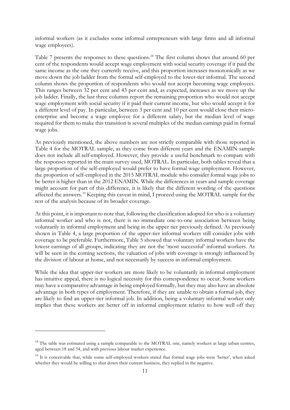informal workers (as it excludes some informal entrepreneurs with large firms and all informal wage employees).

[Table 7](#page-26-1) presents the responses to these questions.<sup>[18](#page-10-0)</sup> The first column shows that around 60 per cent of the respondents would accept wage employment with social security coverage if it paid the same income as the one they currently receive, and this proportion increases monotonically as we move down the job ladder from the formal self-employed to the lower-tier informal. The second column shows the proportion of respondents who would not accept becoming wage employees. This ranges between 32 per cent and 43 per cent and, as expected, increases as we move up the job ladder. Finally, the last three columns report the remaining proportion who would not accept wage employment with social security if it paid their current income, but who would accept it for a different level of pay. In particular, between 3 per cent and 10 per cent would close their microenterprise and become a wage employee for a different salary, but the median level of wage required for them to make this transition is several multiples of the median earnings paid in formal wage jobs.

As previously mentioned, the above numbers are not strictly comparable with those reported in [Table 4](#page-24-0) for the MOTRAL sample, as they come from different years and the ENAMIN sample does not include all self-employed. However, they provide a useful benchmark to compare with the responses reported in the main survey used, MOTRAL. In particular, both tables reveal that a large proportion of the self-employed would prefer to have formal wage employment. However, the proportion of self-employed in the 2015 MOTRAL module who consider formal wage jobs to be better is higher than in the 2012 ENAMIN. While the differences in years and sample coverage might account for part of this difference, it is likely that the different wording of the questions affected the answers.[19](#page-10-1) Keeping this caveat in mind, I proceed using the MOTRAL sample for the rest of the analysis because of its broader coverage.

At this point, it is important to note that, following the classification adopted for who is a voluntary informal worker and who is not, there is no immediate one-to-one association between being voluntarily in informal employment and being in the upper tier previously defined. As previously shown in [Table 4,](#page-24-0) a large proportion of the upper-tier informal workers still consider jobs with coverage to be preferable. Furthermore, [Table 5](#page-24-1) showed that voluntary informal workers have the lowest earnings of all groups, indicating they are not the 'most successful' informal workers. As will be seen in the coming sections, the valuation of jobs with coverage is strongly influenced by the division of labour at home, and not necessarily by success in informal employment.

While the idea that upper-tier workers are more likely to be voluntarily in informal employment has intuitive appeal, there is no logical necessity for this correspondence to occur. Some workers may have a comparative advantage in being employed formally, but they may also have an absolute advantage in both types of employment. Therefore, if they are unable to obtain a formal job, they are likely to find an upper-tier informal job. In addition, being a voluntary informal worker only implies that these workers are better off in informal employment relative to how well off they

<span id="page-10-0"></span><sup>&</sup>lt;sup>18</sup> The table was estimated using a sample comparable to the MOTRAL one, namely workers at large urban centres, aged between 18 and 54, and with previous labour market experience.

<span id="page-10-1"></span><sup>&</sup>lt;sup>19</sup> It is conceivable that, while some self-employed workers stated that formal wage jobs were 'better', when asked whether they would be willing to shut down their current business, they replied in the negative.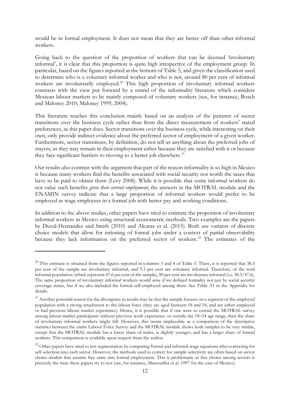would be in formal employment. It does not mean that they are better off than other informal workers.

Going back to the question of the proportion of workers that can be deemed 'involuntary informal', it is clear that this proportion is quite high irrespective of the employment group. In particular, based on the figures reported at the bottom of [Table 5,](#page-24-1) and given the classification used to determine who is a voluntary informal worker and who is not, around 80 per cent of informal workers are involuntarily employed. [20](#page-11-0) This high proportion of involuntary informal workers contrasts with the view put forward by a strand of the informality literature which considers Mexican labour markets to be mainly composed of voluntary workers (see, for instance, Bosch and Maloney 2010; Maloney 1999, 2004).

This literature reaches this conclusion mainly based on an analysis of the patterns of sector transitions over the business cycle rather than from the direct measurement of workers' stated preferences, as this paper does. Sector transitions over the business cycle, while interesting on their own, only provide indirect evidence about the preferred sector of employment of a given worker. Furthermore, sector transitions, by definition, do not tell us anything about the preferred jobs of stayers, as they may remain in their employment either because they are satisfied with it or because they face significant barriers to moving to a better job elsewhere.<sup>[21](#page-11-1)</sup>

Our results also contrast with the argument that part of the reason informality is so high in Mexico is because many workers find the benefits associated with social security not worth the taxes that have to be paid to obtain them (Levy 2008). While it is possible that some informal workers do not value such benefits *given their current employment*, the answers in the MOTRAL module and the ENAMIN survey indicate that a large proportion of informal workers would prefer to be employed as wage employees in a formal job with better pay and working conditions.

In addition to the above studies, other papers have tried to estimate the proportion of involuntary informal workers in Mexico using structural econometric methods. Two examples are the papers by Duval-Hernandez and Smith (2010) and Alcaraz et al. (2015). Both use variants of discrete choice models that allow for rationing of formal jobs under a context of partial observability because they lack information on the preferred sector of workers.<sup>[22](#page-11-2)</sup> The estimates of the

<span id="page-11-0"></span> $20$  This estimate is obtained from the figures reported in columns 3 and 4 of [Table 5.](#page-24-1) There, it is reported that 38.3 per cent of the sample are involuntary informal, and 9.3 per cent are voluntary informal. Therefore, of the total informal population (which represent 47.6 per cent of the sample), 80 per cent are involuntary informal (i.e. 38.3/47.6). The same proportion of involuntary informal workers would arise if we defined formality not just by social security coverage status, but if we also included the formal self-employed among them. See Table A1 in the Appendix for details.

<span id="page-11-1"></span><sup>&</sup>lt;sup>21</sup> Another potential reason for the divergence in results may be that the sample focuses on a segment of the employed population with a strong attachment to the labour force (they are aged between 18 and 54, and are either employed or had previous labour market experience). Hence, it is possible that if one were to extend the MOTRAL survey among labour market participants without previous work experience, or outside the 18–54 age range, then the share of involuntary informal workers might fall. However, this seems implausible as a comparison of the descriptive statistics between the entire Labour Force Survey and the MOTRAL module shows both samples to be very similar, except that the MOTRAL module has a lower share of males, is slightly younger, and has a larger share of formal workers. This comparison is available upon request from the author.

<span id="page-11-2"></span><sup>&</sup>lt;sup>22</sup> Other papers have tried to test segmentation by comparing formal and informal wage equations after correcting for self-selection into each sector. However, the methods used to correct for sample selectivity are often based on sector choice models that assume free entry into formal employment. This is problematic as free choice among sectors is precisely the issue these papers try to test (see, for instance, Marcouiller et al. 1997 for the case of Mexico).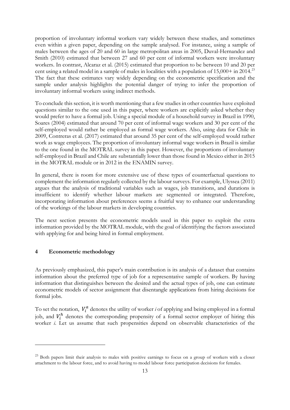proportion of involuntary informal workers vary widely between these studies, and sometimes even within a given paper, depending on the sample analysed. For instance, using a sample of males between the ages of 20 and 60 in large metropolitan areas in 2005, Duval-Hernandez and Smith (2010) estimated that between 27 and 60 per cent of informal workers were involuntary workers. In contrast, Alcaraz et al. (2015) estimated that proportion to be between 10 and 20 per cent using a related model in a sample of males in localities with a population of 15,000+ in 2014.[23](#page-12-1) The fact that these estimates vary widely depending on the econometric specification and the sample under analysis highlights the potential danger of trying to infer the proportion of involuntary informal workers using indirect methods.

To conclude this section, it is worth mentioning that a few studies in other countries have exploited questions similar to the one used in this paper, where workers are explicitly asked whether they would prefer to have a formal job. Using a special module of a household survey in Brazil in 1990, Soares (2004) estimated that around 70 per cent of informal wage workers and 30 per cent of the self-employed would rather be employed as formal wage workers. Also, using data for Chile in 2009, Contreras et al. (2017) estimated that around 35 per cent of the self-employed would rather work as wage employees. The proportion of involuntary informal wage workers in Brazil is similar to the one found in the MOTRAL survey in this paper. However, the proportions of involuntary self-employed in Brazil and Chile are substantially lower than those found in Mexico either in 2015 in the MOTRAL module or in 2012 in the ENAMIN survey.

In general, there is room for more extensive use of these types of counterfactual questions to complement the information regularly collected by the labour surveys. For example, Ulyssea (2011) argues that the analysis of traditional variables such as wages, job transitions, and durations is insufficient to identify whether labour markets are segmented or integrated. Therefore, incorporating information about preferences seems a fruitful way to enhance our understanding of the workings of the labour markets in developing countries.

The next section presents the econometric models used in this paper to exploit the extra information provided by the MOTRAL module, with the goal of identifying the factors associated with applying for and being hired in formal employment.

#### <span id="page-12-0"></span>**4 Econometric methodology**

As previously emphasized, this paper's main contribution is its analysis of a dataset that contains information about the preferred type of job for a representative sample of workers. By having information that distinguishes between the desired and the actual types of job, one can estimate econometric models of sector assignment that disentangle applications from hiring decisions for formal jobs.

To set the notation,  $V_i^a$  denotes the utility of worker *i* of applying and being employed in a formal job, and  $V_i^h$  denotes the corresponding propensity of a formal sector employer of hiring this worker *i*. Let us assume that such propensities depend on observable characteristics of the

<span id="page-12-1"></span><sup>&</sup>lt;sup>23</sup> Both papers limit their analysis to males with positive earnings to focus on a group of workers with a closer attachment to the labour force, and to avoid having to model labour force participation decisions for females.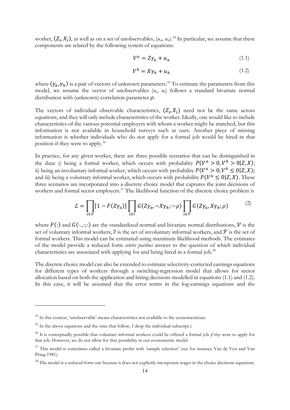worker,  $(Z_i, X_i)$ , as well as on a set of unobservables,  $(u_{ab}, u_{bi})^{24}$  $(u_{ab}, u_{bi})^{24}$  $(u_{ab}, u_{bi})^{24}$  In particular, we assume that these components are related by the following system of equations:

<span id="page-13-0"></span>
$$
V^a = Z\gamma_a + u_a \tag{1.1}
$$

<span id="page-13-1"></span>
$$
V^h = X\gamma_h + u_h \tag{1.2}
$$

where  $(\gamma_a, \gamma_b)$  is a pair of vectors of unknown parameters.<sup>[25](#page-13-3)</sup> To estimate the parameters from this model, we assume the vector of unobservables (*ua, uh*) follows a standard bivariate normal distribution with (unknown) correlation parameter  $\rho$ .

The vectors of individual observable characteristics,  $(Z_i, X_i)$  need not be the same across equations, and they will only include characteristics of the worker. Ideally, one would like to include characteristics of the various potential employers with whom a worker might be matched, but this information is not available in household surveys such as ours. Another piece of missing information is whether individuals who do not apply for a formal job would be hired in that position if they were to apply.[26](#page-13-4)

In practice, for any given worker, there are three possible scenarios that can be distinguished in the data: i) being a formal worker, which occurs with probability  $P(V^a > 0, V^h > 0 | Z, X);$ ii) being an involuntary informal worker, which occurs with probability  $P(V^a > 0, V^h \le 0 | Z, X);$ and iii) being a voluntary informal worker, which occurs with probability  $P(V^a \leq 0|Z, X)$ . These three scenarios are incorporated into a discrete choice model that captures the joint decisions of workers and formal sector employers.<sup>[27](#page-13-5)</sup> The likelihood function of the discrete choice problem is

$$
\mathcal{L} = \prod_{i \in \mathcal{V}} [1 - F(Z\gamma_a)] \prod_{i \in \mathcal{I}} G(Z\gamma_a, -X\gamma_h; -\rho) \prod_{i \in \mathcal{F}} G(Z\gamma_a, X\gamma_h; \rho) \tag{2}
$$

where  $F(\cdot)$  and  $G(\cdot, \cdot; \cdot)$  are the standardized normal and bivariate normal distributions,  $\nu$  is the set of voluntary informal workers,  $\hat{J}$  is the set of involuntary informal workers, and  $\hat{J}$  is the set of formal workers. This model can be estimated using maximum likelihood methods. The estimates of the model provide a reduced form *ceteris paribus* answer to the question of which individual characteristics are associated with applying for and being hired in a formal job.[28](#page-13-6)

The discrete choice model can also be extended to estimate selectivity-corrected earnings equations for different types of workers through a switching-regression model that allows for sector allocation based on both the application and hiring decisions modelled in equations [\(1.1\)](#page-13-0) and [\(1.2\).](#page-13-1) In this case, it will be assumed that the error terms in the log-earnings equations and the

<span id="page-13-2"></span> $24$  In this context, 'unobservable' means characteristics not available to the econometrician.

<span id="page-13-3"></span> $^{25}$  In the above equations and the ones that follow, I drop the individual subscript  $\dot{i}$ .

<span id="page-13-4"></span><sup>26</sup> It is conceptually possible that voluntary informal workers could be offered a formal job *if they* were to apply for that job. However, we do not allow for that possibility in our econometric model.

<span id="page-13-5"></span> $27$  This model is sometimes called a bivariate probit with 'sample selection' (see for instance Van de Ven and Van Praag 1981).

<span id="page-13-6"></span><sup>&</sup>lt;sup>28</sup> The model is a reduced form one because it does not explicitly incorporate wages in the choice decisions equations.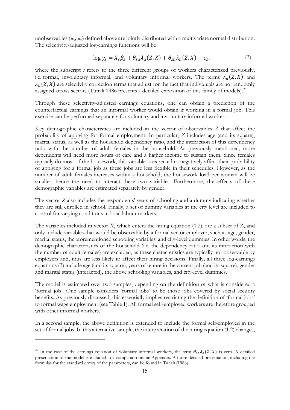unobservables (*uai, uhi*) defined above are jointly distributed with a multivariate normal distribution. The selectivity-adjusted log-earnings functions will be

<span id="page-14-0"></span>
$$
\log y_s = X_s \beta_s + \theta_{sa} \lambda_a(Z, X) + \theta_{sh} \lambda_h(Z, X) + \epsilon_s,\tag{3}
$$

where the subscript *s* refers to the three different groups of workers characterized previously, i.e. formal, involuntary informal, and voluntary informal workers. The terms  $\lambda_a(Z, X)$  and  $\lambda_h(Z, X)$  are selectivity correction terms that adjust for the fact that individuals are not randomly assigned across sectors (Tunalı 1986 presents a detailed exposition of this family of models).<sup>[29](#page-14-1)</sup>

Through these selectivity-adjusted earnings equations, one can obtain a prediction of the counterfactual earnings that an informal worker would obtain if working in a formal job. This exercise can be performed separately for voluntary and involuntary informal workers.

Key demographic characteristics are included in the vector of observables *Z* that affect the probability of applying for formal employment. In particular, *Z* includes age (and its square), marital status, as well as the household dependency ratio, and the interaction of this dependency ratio with the number of adult females in the household. As previously mentioned, more dependents will need more hours of care and a higher income to sustain them. Since females typically do most of the housework, this variable is expected to negatively affect their probability of applying for a formal job as these jobs are less flexible in their schedules. However, as the number of adult females increases within a household, the housework load per woman will be smaller, hence the need to interact these two variables. Furthermore, the effects of these demographic variables are estimated separately by gender.

The vector *Z* also includes the respondents' years of schooling and a dummy indicating whether they are still enrolled in school. Finally, a set of dummy variables at the city level are included to control for varying conditions in local labour markets.

The variables included in vector *X*, which enters the hiring equation [\(1.2\),](#page-13-1) are a subset of Z, and only include variables that would be observable by a formal sector employer, such as age, gender, marital status, the aforementioned schooling variables, and city-level dummies. In other words, the demographic characteristics of the household (i.e. the dependency ratio and its interaction with the number of adult females) are excluded, as these characteristics are typically not observable by employers and, thus are less likely to affect their hiring decisions. Finally, all three log-earnings equations [\(3\)](#page-14-0) include age (and its square), years of tenure in the current job (and its square), gender and marital status (interacted), the above schooling variables, and city-level dummies.

The model is estimated over two samples, depending on the definition of what is considered a 'formal job'. One sample considers 'formal jobs' to be those jobs covered by social security benefits. As previously discussed, this essentially implies restricting the definition of 'formal jobs' to formal wage employment (see [Table 1\)](#page-21-0). All formal self-employed workers are therefore grouped with other informal workers.

In a second sample, the above definition is extended to include the formal self-employed in the set of formal jobs. In this alternative sample, the interpretation of the hiring equatio[n \(1.2\)](#page-13-1) changes,

<span id="page-14-1"></span><sup>&</sup>lt;sup>29</sup> In the case of the earnings equation of voluntary informal workers, the term  $\theta_{sh}\lambda_h(Z, X)$  is zero. A detailed presentation of the model is included in a companion online Appendix. A more detailed presentation, including the formulas for the standard errors of the parameters, can be found in Tunalı (1986).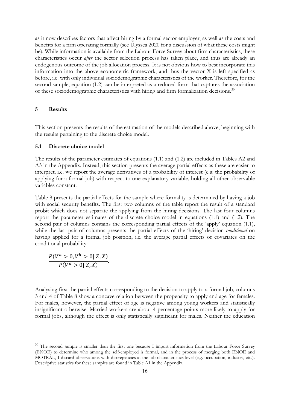as it now describes factors that affect hiring by a formal sector employer, as well as the costs and benefits for a firm operating formally (see Ulyssea 2020 for a discussion of what these costs might be). While information is available from the Labour Force Survey about firm characteristics, these characteristics occur *after* the sector selection process has taken place, and thus are already an endogenous outcome of the job allocation process. It is not obvious how to best incorporate this information into the above econometric framework, and thus the vector X is left specified as before, i.e. with only individual sociodemographic characteristics of the worker. Therefore, for the second sample, equation [\(1.2\)](#page-13-1) can be interpreted as a reduced form that captures the association of these sociodemographic characteristics with hiring and firm formalization decisions.<sup>[30](#page-15-1)</sup>

### <span id="page-15-0"></span>**5 Results**

This section presents the results of the estimation of the models described above, beginning with the results pertaining to the discrete choice model.

#### **5.1 Discrete choice model**

The results of the parameter estimates of equations [\(1.1\)](#page-13-0) and [\(1.2\)](#page-13-1) are included in Tables A2 and A3 in the Appendix. Instead, this section presents the average partial effects as these are easier to interpret, i.e. we report the average derivatives of a probability of interest (e.g. the probability of applying for a formal job) with respect to one explanatory variable, holding all other observable variables constant.

[Table 8](#page-28-0) presents the partial effects for the sample where formality is determined by having a job with social security benefits. The first two columns of the table report the result of a standard probit which does not separate the applying from the hiring decisions. The last four columns report the parameter estimates of the discrete choice model in equations [\(1.1\)](#page-13-0) and [\(1.2\).](#page-13-1) The second pair of columns contains the corresponding partial effects of the 'apply' equation [\(1.1\),](#page-13-0) while the last pair of columns presents the partial effects of the 'hiring' decision *conditional* on having applied for a formal job position, i.e. the average partial effects of covariates on the conditional probability:

$$
\frac{P(V^a > 0, V^h > 0 | Z, X)}{P(V^a > 0 | Z, X)}.
$$

Analysing first the partial effects corresponding to the decision to apply to a formal job, columns 3 and 4 of [Table 8](#page-28-0) show a concave relation between the propensity to apply and age for females. For males, however, the partial effect of age is negative among young workers and statistically insignificant otherwise. Married workers are about 4 percentage points more likely to apply for formal jobs, although the effect is only statistically significant for males. Neither the education

<span id="page-15-1"></span><sup>&</sup>lt;sup>30</sup> The second sample is smaller than the first one because I import information from the Labour Force Survey (ENOE) to determine who among the self-employed is formal, and in the process of merging both ENOE and MOTRAL, I discard observations with discrepancies at the job characteristics level (e.g. occupation, industry, etc.). Descriptive statistics for these samples are found in Table A1 in the Appendix.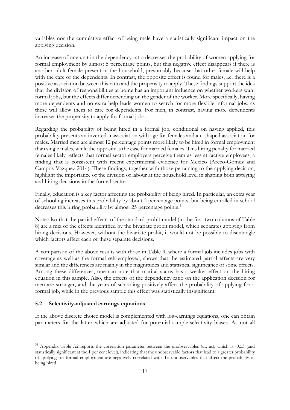variables nor the cumulative effect of being male have a statistically significant impact on the applying decision.

An increase of one unit in the dependency ratio decreases the probability of women applying for formal employment by almost 5 percentage points, but this negative effect disappears if there is another adult female present in the household, presumably because that other female will help with the care of the dependents. In contrast, the opposite effect is found for males, i.e. there is a positive association between this ratio and the propensity to apply. These findings support the idea that the division of responsibilities at home has an important influence on whether workers want formal jobs, but the effects differ depending on the gender of the worker. More specifically, having more dependents and no extra help leads women to search for more flexible informal jobs, as these will allow them to care for dependents. For men, in contrast, having more dependents increases the propensity to apply for formal jobs.

Regarding the probability of being hired in a formal job, conditional on having applied, this probability presents an inverted-u association with age for females and a u-shaped association for males. Married men are almost 12 percentage points more likely to be hired in formal employment than single males, while the opposite is the case for married females. This hiring penalty for married females likely reflects that formal sector employers perceive them as less attractive employees, a finding that is consistent with recent experimental evidence for Mexico (Arceo-Gomez and Campos-Vazquez 2014). These findings, together with those pertaining to the applying decision, highlight the importance of the division of labour at the household level in shaping both applying and hiring decisions in the formal sector.

Finally, education is a key factor affecting the probability of being hired. In particular, an extra year of schooling increases this probability by about 3 percentage points, but being enrolled in school decreases this hiring probability by almost 25 percentage points.<sup>[31](#page-16-0)</sup>

Note also that the partial effects of the standard probit model (in the first two columns of Table 8) are a mix of the effects identified by the bivariate probit model, which separates applying from hiring decisions. However, without the bivariate probit, it would not be possible to disentangle which factors affect each of these separate decisions.

A comparison of the above results with those in [Table 9,](#page-29-0) where a formal job includes jobs with coverage as well as the formal self-employed, shows that the estimated partial effects are very similar and the differences are mainly in the magnitudes and statistical significance of some effects. Among these differences, one can note that marital status has a weaker effect on the hiring equation in this sample. Also, the effects of the dependency ratio on the application decision for men are stronger, and the years of schooling positively affect the probability of applying for a formal job, while in the previous sample this effect was statistically insignificant.

#### **5.2 Selectivity-adjusted earnings equations**

If the above discrete choice model is complemented with log-earnings equations, one can obtain parameters for the latter which are adjusted for potential sample-selectivity biases. As not all

<span id="page-16-0"></span> $31$  Appendix Table A2 reports the correlation parameter between the unobservables (u<sub>a</sub>, u<sub>h</sub>), which is -0.53 (and statistically significant at the 1 per cent level), indicating that the unobservable factors that lead to a greater probability of applying for formal employment are negatively correlated with the unobservables that affect the probability of being hired.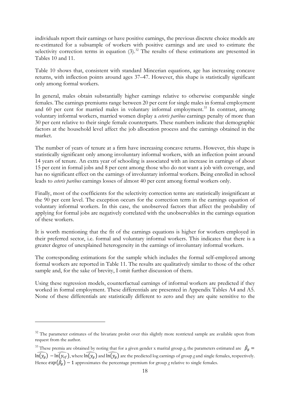individuals report their earnings or have positive earnings, the previous discrete choice models are re-estimated for a subsample of workers with positive earnings and are used to estimate the selectivity correction terms in equation  $(3)$ .<sup>[32](#page-17-0)</sup> The results of these estimations are presented in Tables 10 and 11.

[Table 10](#page-30-0) shows that, consistent with standard Mincerian equations, age has increasing concave returns, with inflection points around ages 37–47. However, this shape is statistically significant only among formal workers.

In general, males obtain substantially higher earnings relative to otherwise comparable single females. The earnings premiums range between 20 per cent for single males in formal employment and 60 per cent for married males in voluntary informal employment. [33](#page-17-1) In contrast, among voluntary informal workers, married women display a *ceteris paribus* earnings penalty of more than 30 per cent relative to their single female counterparts. These numbers indicate that demographic factors at the household level affect the job allocation process and the earnings obtained in the market.

The number of years of tenure at a firm have increasing concave returns. However, this shape is statistically significant only among involuntary informal workers, with an inflection point around 14 years of tenure. An extra year of schooling is associated with an increase in earnings of about 15 per cent in formal jobs and 8 per cent among those who do not want a job with coverage, and has no significant effect on the earnings of involuntary informal workers. Being enrolled in school leads to *ceteris paribus* earnings losses of almost 40 per cent among formal workers only.

Finally, most of the coefficients for the selectivity correction terms are statistically insignificant at the 90 per cent level. The exception occurs for the correction term in the earnings equation of voluntary informal workers. In this case, the unobserved factors that affect the probability of applying for formal jobs are negatively correlated with the unobservables in the earnings equation of these workers.

It is worth mentioning that the fit of the earnings equations is higher for workers employed in their preferred sector, i.e. formal and voluntary informal workers. This indicates that there is a greater degree of unexplained heterogeneity in the earnings of involuntary informal workers.

The corresponding estimations for the sample which includes the formal self-employed among formal workers are reported in [Table 11.](#page-31-0) The results are qualitatively similar to those of the other sample and, for the sake of brevity, I omit further discussion of them.

Using these regression models, counterfactual earnings of informal workers are predicted if they worked in formal employment. These differentials are presented in Appendix Tables A4 and A5. None of these differentials are statistically different to zero and they are quite sensitive to the

<span id="page-17-0"></span><sup>&</sup>lt;sup>32</sup> The parameter estimates of the bivariate probit over this slightly more restricted sample are available upon from request from the author.

<span id="page-17-1"></span><sup>&</sup>lt;sup>33</sup> These premia are obtained by noting that for a given gender x marital group *g*, the parameters estimated are  $\beta_g =$  $\ln(y_g) - \ln(y_{sf})$ , where  $\ln(y_g)$  and  $\ln(y_g)$  are the predicted log earnings of group *g* and single females, respectively. Hence  $exp(\hat{\beta}_g) - 1$  approximates the percentage premium for group *g* relative to single females.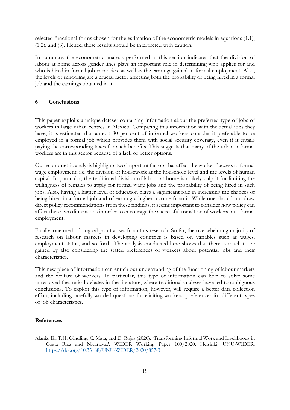selected functional forms chosen for the estimation of the econometric models in equations [\(1.1\),](#page-13-0) [\(1.2\),](#page-13-1) and [\(3\).](#page-14-0) Hence, these results should be interpreted with caution.

In summary, the econometric analysis performed in this section indicates that the division of labour at home across gender lines plays an important role in determining who applies for and who is hired in formal job vacancies, as well as the earnings gained in formal employment. Also, the levels of schooling are a crucial factor affecting both the probability of being hired in a formal job and the earnings obtained in it.

## <span id="page-18-0"></span>**6 Conclusions**

This paper exploits a unique dataset containing information about the preferred type of jobs of workers in large urban centres in Mexico. Comparing this information with the actual jobs they have, it is estimated that almost 80 per cent of informal workers consider it preferable to be employed in a formal job which provides them with social security coverage, even if it entails paying the corresponding taxes for such benefits. This suggests that many of the urban informal workers are in this sector because of a lack of better options.

Our econometric analysis highlights two important factors that affect the workers' access to formal wage employment, i.e. the division of housework at the household level and the levels of human capital. In particular, the traditional division of labour at home is a likely culprit for limiting the willingness of females to apply for formal wage jobs and the probability of being hired in such jobs. Also, having a higher level of education plays a significant role in increasing the chances of being hired in a formal job and of earning a higher income from it. While one should not draw direct policy recommendations from these findings, it seems important to consider how policy can affect these two dimensions in order to encourage the successful transition of workers into formal employment.

Finally, one methodological point arises from this research. So far, the overwhelming majority of research on labour markets in developing countries is based on variables such as wages, employment status, and so forth. The analysis conducted here shows that there is much to be gained by also considering the stated preferences of workers about potential jobs and their characteristics.

This new piece of information can enrich our understanding of the functioning of labour markets and the welfare of workers. In particular, this type of information can help to solve some unresolved theoretical debates in the literature, where traditional analyses have led to ambiguous conclusions. To exploit this type of information, however, will require a better data collection effort, including carefully worded questions for eliciting workers' preferences for different types of job characteristics.

#### **References**

Alaniz, E., T.H. Gindling, C. Mata, and D. Rojas (2020). 'Transforming Informal Work and Livelihoods in Costa Rica and Nicaragua'. WIDER Working Paper 100/2020. Helsinki: UNU-WIDER. <https://doi.org/10.35188/UNU-WIDER/2020/857-3>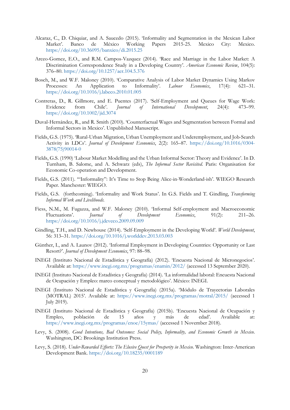- Alcaraz, C., D. Chiquiar, and A. Saucedo (2015). 'Informality and Segmentation in the Mexican Labor Market'. Banco de México Working Papers 2015-25. Mexico City: Mexico. <https://doi.org/10.36095/banxico/di.2015.25>
- Arceo-Gomez, E.O., and R.M. Campos-Vazquez (2014). 'Race and Marriage in the Labor Market: A Discrimination Correspondence Study in a Developing Country'. *American Economic Review*, 104(5): 376–80.<https://doi.org/10.1257/aer.104.5.376>
- Bosch, M., and W.F. Maloney (2010). 'Comparative Analysis of Labor Market Dynamics Using Markov Processes: An Application to Informality'. *Labour Economics*, 17(4): 621–31. <https://doi.org/10.1016/j.labeco.2010.01.005>
- Contreras, D., R. Gillmore, and E. Puentes (2017). 'Self-Employment and Queues for Wage Work: Evidence from Chile'. *Journal of International Development*, 24(4): 473–99. <https://doi.org/10.1002/jid.3074>
- Duval-Hernández, R., and R. Smith (2010). 'Counterfactual Wages and Segmentation between Formal and Informal Sectors in Mexico'. Unpublished Manuscript.
- Fields, G.S. (1975). 'Rural-Urban Migration, Urban Unemployment and Underemployment, and Job-Search Activity in LDCs'. *Journal of Development Economics*, 2(2): 165–87. [https://doi.org/10.1016/0304-](https://doi.org/10.1016/0304-3878(75)90014-0) [3878\(75\)90014-0](https://doi.org/10.1016/0304-3878(75)90014-0)
- Fields, G.S. (1990) 'Labour Market Modelling and the Urban Informal Sector: Theory and Evidence'. In D. Turnham, B. Salome, and A. Schwarz (eds), *The Informal Sector Revisited*. Paris: Organisation for Economic Co-operation and Development.
- Fields, G.S. (2011). '"Informality": It's Time to Stop Being Alice-in-Wonderland-ish'. WIEGO Research Paper. Manchester: WIEGO.
- Fields, G.S. (forthcoming). 'Informality and Work Status'. In G.S. Fields and T. Gindling, *Transforming Informal Work and Livelihoods.*
- Fiess, N.M., M. Fugazza, and W.F. Maloney (2010). 'Informal Self-employment and Macroeconomic Fluctuations'. *Journal of Development Economics*, 91(2): 211–26. <https://doi.org/10.1016/j.jdeveco.2009.09.009>
- Gindling, T.H., and D. Newhouse (2014). 'Self-Employment in the Developing World'. *World Development*, 56: 313–31. <https://doi.org/10.1016/j.worlddev.2013.03.003>
- Günther, I., and A. Launov (2012). 'Informal Employment in Developing Countries: Opportunity or Last Resort?'. *Journal of Development Economics*, 97: 88–98.
- INEGI (Instituto Nacional de Estadística y Geografía) (2012). 'Encuesta Nacional de Micronegocios'. Available at:<https://www.inegi.org.mx/programas/enamin/2012/> (accessed 13 September 2020).
- INEGI (Instituto Nacional de Estadística y Geografía) (2014). 'La informalidad laboral: Encuesta Nacional de Ocupación y Empleo: marco conceptual y metodológico'. México: INEGI.
- INEGI (Instituto Nacional de Estadística y Geografía) (2015a). 'Módulo de Trayectorias Laborales (MOTRAL) 2015'. Available at: <https://www.inegi.org.mx/programas/motral/2015/> (accessed 1 July 2019).
- INEGI (Instituto Nacional de Estadística y Geografía) (2015b). 'Encuesta Nacional de Ocupación y Empleo, población de 15 años y más de edad'. Available at: <https://www.inegi.org.mx/programas/enoe/15ymas/> (accessed 1 November 2018).
- Levy, S. (2008). *Good Intentions, Bad Outcomes: Social Policy, Informality, and Economic Growth in Mexico*. Washington, DC: Brookings Institution Press.
- Levy, S. (2018). *Under-Rewarded Efforts: The Elusive Quest for Prosperity in Mexico*. Washington: Inter-American Development Bank. <https://doi.org/10.18235/0001189>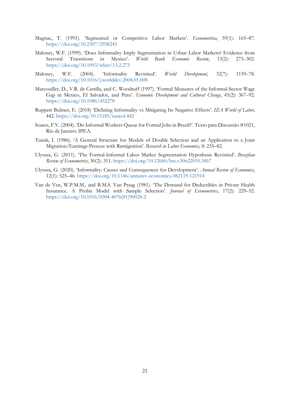- Magnac, T. (1991). 'Segmented or Competitive Labor Markets'. *Econometrica*, 59(1): 165–87. <https://doi.org/10.2307/2938245>
- Maloney, W.F. (1999). 'Does Informality Imply Segmentation in Urban Labor Markets? Evidence from Sectoral Transitions in Mexico'. *World Bank Economic Review*, 13(2): 275–302. <https://doi.org/10.1093/wber/13.2.275>
- Maloney, W.F. (2004). 'Informality Revisited'. *World Development*, 32(7): 1159–78. <https://doi.org/10.1016/j.worlddev.2004.01.008>
- Marcouiller, D., V.R. de Castilla, and C. Woodruff (1997). 'Formal Measures of the Informal-Sector Wage Gap in Mexico, El Salvador, and Peru'. *Economic Development and Cultural Change*, 45(2): 367–92. <https://doi.org/10.1086/452278>
- Ruppert Bulmer, E. (2018) 'Defining Informality vs Mitigating Its Negative Effects'. *IZA World of Labor*, 442.<https://doi.org/10.15185/izawol.442>
- Soares, F.V. (2004). 'Do Informal Workers Queue for Formal Jobs in Brazil?'. Texto para Discussão #1021, Rio de Janeiro: IPEA.
- Tunalı, İ. (1986). 'A General Structure for Models of Double Selection and an Application to a Joint Migration/Earnings Process with Remigration'. *Research in Labor Economics*, 8: 235–82.
- Ulyssea, G. (2011). 'The Formal-Informal Labor Market Segmentation Hypothesis Revisited'. *Brazilian Review of Econometrics*, 30(2): 311. <https://doi.org/10.12660/bre.v30n22010.3467>
- Ulyssea, G. (2020). 'Informality: Causes and Consequences for Development'. *Annual Review of Economics*, 12(1): 525–46. <https://doi.org/10.1146/annurev-economics-082119-121914>
- Van de Ven, W.P.M.M., and B.M.S. Van Praag (1981). 'The Demand for Deductibles in Private Health Insurance. A Probit Model with Sample Selection'. *Journal of Econometrics*, 17(2): 229–52. [https://doi.org/10.1016/0304-4076\(81\)90028-2](https://doi.org/10.1016/0304-4076(81)90028-2)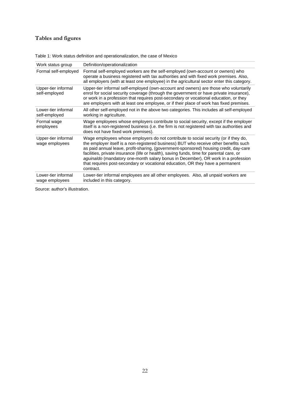# **Tables and figures**

| Work status group                     | Definition/operationalization                                                                                                                                                                                                                                                                                                                                                                                                                                                                                                                         |
|---------------------------------------|-------------------------------------------------------------------------------------------------------------------------------------------------------------------------------------------------------------------------------------------------------------------------------------------------------------------------------------------------------------------------------------------------------------------------------------------------------------------------------------------------------------------------------------------------------|
| Formal self-employed                  | Formal self-employed workers are the self-employed (own-account or owners) who<br>operate a business registered with tax authorities and with fixed work premises. Also,<br>all employers (with at least one employee) in the agricultural sector enter this category.                                                                                                                                                                                                                                                                                |
| Upper-tier informal<br>self-employed  | Upper-tier informal self-employed (own-account and owners) are those who voluntarily<br>enrol for social security coverage (through the government or have private insurance),<br>or work in a profession that requires post-secondary or vocational education, or they<br>are employers with at least one employee, or if their place of work has fixed premises.                                                                                                                                                                                    |
| Lower-tier informal<br>self-employed  | All other self-employed not in the above two categories. This includes all self-employed<br>working in agriculture.                                                                                                                                                                                                                                                                                                                                                                                                                                   |
| Formal wage<br>employees              | Wage employees whose employers contribute to social security, except if the employer<br>itself is a non-registered business (i.e. the firm is not registered with tax authorities and<br>does not have fixed work premises).                                                                                                                                                                                                                                                                                                                          |
| Upper-tier informal<br>wage employees | Wage employees whose employers do not contribute to social security (or if they do,<br>the employer itself is a non-registered business) BUT who receive other benefits such<br>as paid annual leave, profit-sharing, (government-sponsored) housing credit, day-care<br>facilities, private insurance (life or health), saving funds, time for parental care, or<br>aguinaldo (mandatory one-month salary bonus in December), OR work in a profession<br>that requires post-secondary or vocational education, OR they have a permanent<br>contract. |
| Lower-tier informal<br>wage employees | Lower-tier informal employees are all other employees. Also, all unpaid workers are<br>included in this category.                                                                                                                                                                                                                                                                                                                                                                                                                                     |

<span id="page-21-0"></span>Table 1: Work status definition and operationalization, the case of Mexico

Source: author's illustration.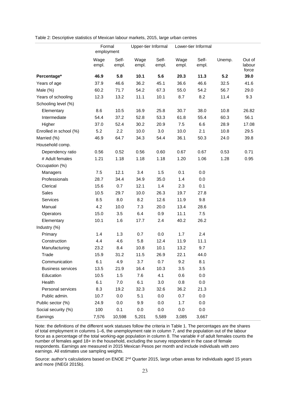<span id="page-22-0"></span>Table 2: Descriptive statistics of Mexican labour markets, 2015, large urban centres

|                          | Formal<br>employment |                | Upper-tier Informal |                |               | Lower-tier Informal |        |                           |
|--------------------------|----------------------|----------------|---------------------|----------------|---------------|---------------------|--------|---------------------------|
|                          | Wage<br>empl.        | Self-<br>empl. | Wage<br>empl.       | Self-<br>empl. | Wage<br>empl. | Self-<br>empl.      | Unemp. | Out of<br>labour<br>force |
| Percentage*              | 46.9                 | 5.8            | 10.1                | 5.6            | 20.3          | 11.3                | 5.2    | 39.0                      |
| Years of age             | 37.9                 | 46.6           | 36.2                | 45.1           | 36.6          | 46.6                | 32.5   | 41.6                      |
| Male $(\%)$              | 60.2                 | 71.7           | 54.2                | 67.3           | 55.0          | 54.2                | 56.7   | 29.0                      |
| Years of schooling       | 12.3                 | 13.2           | 11.1                | 10.1           | 8.7           | 8.2                 | 11.4   | 9.3                       |
| Schooling level (%)      |                      |                |                     |                |               |                     |        |                           |
| Elementary               | 8.6                  | 10.5           | 16.9                | 25.8           | 30.7          | 38.0                | 10.8   | 26.82                     |
| Intermediate             | 54.4                 | 37.2           | 52.8                | 53.3           | 61.8          | 55.4                | 60.3   | 56.1                      |
| Higher                   | 37.0                 | 52.4           | 30.2                | 20.9           | 7.5           | 6.6                 | 28.9   | 17.08                     |
| Enrolled in school (%)   | 5.2                  | 2.2            | 10.0                | 3.0            | 10.0          | 2.1                 | 10.8   | 29.5                      |
| Married (%)              | 46.9                 | 64.7           | 34.3                | 54.4           | 36.1          | 50.3                | 24.0   | 39.8                      |
| Household comp.          |                      |                |                     |                |               |                     |        |                           |
| Dependency ratio         | 0.56                 | 0.52           | 0.56                | 0.60           | 0.67          | 0.67                | 0.53   | 0.71                      |
| # Adult females          | 1.21                 | 1.18           | 1.18                | 1.18           | 1.20          | 1.06                | 1.28   | 0.95                      |
| Occupation (%)           |                      |                |                     |                |               |                     |        |                           |
| Managers                 | 7.5                  | 12.1           | 3.4                 | 1.5            | 0.1           | 0.0                 |        |                           |
| Professionals            | 28.7                 | 34.4           | 34.9                | 35.0           | 1.4           | 0.0                 |        |                           |
| Clerical                 | 15.6                 | 0.7            | 12.1                | 1.4            | 2.3           | 0.1                 |        |                           |
| Sales                    | 10.5                 | 29.7           | 10.0                | 26.3           | 19.7          | 27.8                |        |                           |
| Services                 | 8.5                  | 8.0            | 8.2                 | 12.6           | 11.9          | 9.8                 |        |                           |
| Manual                   | 4.2                  | 10.0           | 7.3                 | 20.0           | 13.4          | 28.6                |        |                           |
| Operators                | 15.0                 | 3.5            | 6.4                 | 0.9            | 11.1          | 7.5                 |        |                           |
| Elementary               | 10.1                 | 1.6            | 17.7                | 2.4            | 40.2          | 26.2                |        |                           |
| Industry (%)             |                      |                |                     |                |               |                     |        |                           |
| Primary                  | 1.4                  | 1.3            | 0.7                 | 0.0            | 1.7           | 2.4                 |        |                           |
| Construction             | 4.4                  | 4.6            | 5.8                 | 12.4           | 11.9          | 11.1                |        |                           |
| Manufacturing            | 23.2                 | 8.4            | 10.8                | 10.1           | 13.2          | 9.7                 |        |                           |
| Trade                    | 15.9                 | 31.2           | 11.5                | 26.9           | 22.1          | 44.0                |        |                           |
| Communication            | 6.1                  | 4.9            | 3.7                 | 0.7            | 9.2           | 8.1                 |        |                           |
| <b>Business services</b> | 13.5                 | 21.9           | 16.4                | 10.3           | 3.5           | 3.5                 |        |                           |
| Education                | 10.5                 | 1.5            | 7.6                 | 4.1            | 0.6           | 0.0                 |        |                           |
| Health                   | 6.1                  | 7.0            | 6.1                 | 3.0            | 0.8           | 0.0                 |        |                           |
| Personal services        | 8.3                  | 19.2           | 32.3                | 32.6           | 36.2          | 21.3                |        |                           |
| Public admin.            | 10.7                 | 0.0            | 5.1                 | 0.0            | 0.7           | 0.0                 |        |                           |
| Public sector (%)        | 24.9                 | 0.0            | 9.9                 | 0.0            | 1.7           | 0.0                 |        |                           |
| Social security (%)      | 100                  | 0.1            | 0.0                 | 0.0            | 0.0           | 0.0                 |        |                           |
| Earnings                 | 7,576                | 10,598         | 5,201               | 5,589          | 3,085         | 3,667               |        |                           |

Note: the definitions of the different work statuses follow the criteria in [Table 1.](#page-21-0) The percentages are the shares of total employment in columns 1–6, the unemployment rate in column 7, and the population out of the labour force as a percentage of the total working-age population in column 8. The variable # of adult females counts the number of females aged 18+ in the household, excluding the survey respondent in the case of female respondents. Earnings are measured in 2015 Mexican Pesos per month and include individuals with zero earnings. All estimates use sampling weights.

Source: author's calculations based on ENOE 2<sup>nd</sup> Quarter 2015, large urban areas for individuals aged 15 years and more (INEGI 2015b).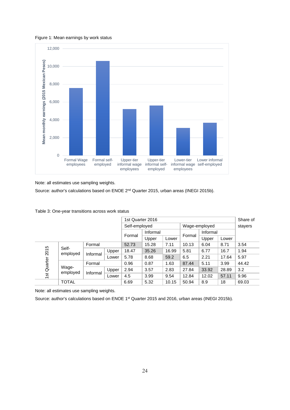<span id="page-23-0"></span>Figure 1: Mean earnings by work status



Note: all estimates use sampling weights.

Source: author's calculations based on ENOE 2<sup>nd</sup> Quarter 2015, urban areas (INEGI 2015b).

|      |                              |          |       | 1st Quarter 2016 |          |       |               |          | Share of |         |
|------|------------------------------|----------|-------|------------------|----------|-------|---------------|----------|----------|---------|
|      |                              |          |       | Self-employed    |          |       | Wage-employed |          |          | stayers |
|      |                              |          |       |                  | Informal |       |               | Informal |          |         |
|      |                              |          |       | Formal           | Upper    | Lower | Formal        | Upper    | Lower    |         |
|      | Formal                       |          |       | 52.73            | 15.28    | 7.11  | 10.13         | 6.04     | 8.71     | 3.54    |
| 2015 | Self-<br>employed            | Informal | Upper | 18.47            | 35.26    | 16.99 | 5.81          | 6.77     | 16.7     | 1.94    |
|      |                              |          | Lower | 5.78             | 8.68     | 59.2  | 6.5           | 2.21     | 17.64    | 5.97    |
|      |                              | Formal   |       | 0.96             | 0.87     | 1.63  | 87.44         | 5.11     | 3.99     | 44.42   |
|      | Quarter<br>Wage-<br>employed |          | Upper | 2.94             | 3.57     | 2.83  | 27.84         | 33.92    | 28.89    | 3.2     |
|      | Informal<br>$\frac{1}{2}$    |          | Lower | 4.5              | 3.99     | 9.54  | 12.84         | 12.02    | 57.11    | 9.96    |
|      | <b>TOTAL</b>                 |          |       | 6.69             | 5.32     | 10.15 | 50.94         | 8.9      | 18       | 69.03   |

<span id="page-23-1"></span>Table 3: One-year transitions across work status

Note: all estimates use sampling weights.

Source: author's calculations based on ENOE 1<sup>st</sup> Quarter 2015 and 2016, urban areas (INEGI 2015b).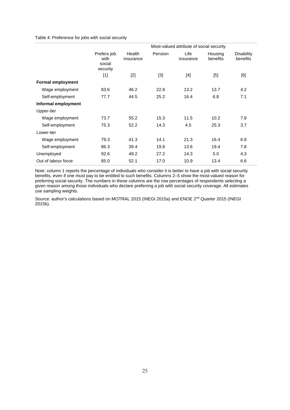#### <span id="page-24-0"></span>Table 4: Preference for jobs with social security

|                          |                                           |                     |         | Most-valued attribute of social security |                     |                               |
|--------------------------|-------------------------------------------|---------------------|---------|------------------------------------------|---------------------|-------------------------------|
|                          | Prefers job<br>with<br>social<br>security | Health<br>insurance | Pension | Life<br>insurance                        | Housing<br>benefits | <b>Disability</b><br>benefits |
|                          | $[1]$                                     | $[2]$               | $[3]$   | $[4]$                                    | $[5]$               | [6]                           |
| <b>Formal employment</b> |                                           |                     |         |                                          |                     |                               |
| Wage employment          | 83.6                                      | 46.2                | 22.8    | 13.2                                     | 13.7                | 4.2                           |
| Self-employment          | 77.7                                      | 44.5                | 25.2    | 16.4                                     | 6.8                 | 7.1                           |
| Informal employment      |                                           |                     |         |                                          |                     |                               |
| Upper-tier               |                                           |                     |         |                                          |                     |                               |
| Wage employment          | 73.7                                      | 55.2                | 15.3    | 11.5                                     | 10.2                | 7.8                           |
| Self-employment          | 75.3                                      | 52.2                | 14.3    | 4.5                                      | 25.3                | 3.7                           |
| Lower-tier               |                                           |                     |         |                                          |                     |                               |
| Wage employment          | 79.3                                      | 41.3                | 14.1    | 21.3                                     | 16.4                | 6.9                           |
| Self-employment          | 86.3                                      | 39.4                | 19.8    | 13.6                                     | 19.4                | 7.8                           |
| Unemployed               | 92.6                                      | 49.2                | 27.2    | 14.3                                     | 5.0                 | 4.3                           |
| Out of labour force      | 85.0                                      | 52.1                | 17.0    | 10.9                                     | 13.4                | 6.6                           |

<span id="page-24-1"></span>Note: column 1 reports the percentage of individuals who consider it is better to have a job with social security benefits, even if one must pay to be entitled to such benefits. Columns 2–5 show the most-valued reason for preferring social security. The numbers in these columns are the row percentages of respondents selecting a given reason among those individuals who declare preferring a job with social security coverage. All estimates use sampling weights.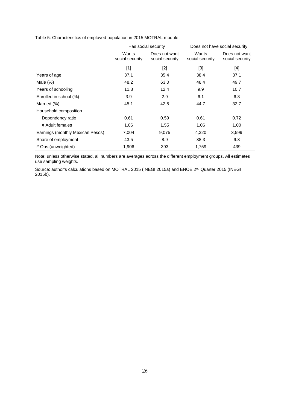Table 5: Characteristics of employed population in 2015 MOTRAL module

|                                  | Has social security      |                                  | Does not have social security |                                  |  |
|----------------------------------|--------------------------|----------------------------------|-------------------------------|----------------------------------|--|
|                                  | Wants<br>social security | Does not want<br>social security | Wants<br>social security      | Does not want<br>social security |  |
|                                  | $[1]$                    | $[2]$                            | $[3]$                         | $[4]$                            |  |
| Years of age                     | 37.1                     | 35.4                             | 38.4                          | 37.1                             |  |
| Male $(\%)$                      | 48.2                     | 63.0                             | 48.4                          | 49.7                             |  |
| Years of schooling               | 11.8                     | 12.4                             | 9.9                           | 10.7                             |  |
| Enrolled in school (%)           | 3.9                      | 2.9                              | 6.1                           | 6.3                              |  |
| Married (%)                      | 45.1                     | 42.5                             | 44.7                          | 32.7                             |  |
| Household composition            |                          |                                  |                               |                                  |  |
| Dependency ratio                 | 0.61                     | 0.59                             | 0.61                          | 0.72                             |  |
| # Adult females                  | 1.06                     | 1.55                             | 1.06                          | 1.00                             |  |
| Earnings (monthly Mexican Pesos) | 7,004                    | 9,075                            | 4,320                         | 3,599                            |  |
| Share of employment              | 43.5                     | 8.9                              | 38.3                          | 9.3                              |  |
| # Obs.(unweighted)               | 1,906                    | 393                              | 1,759                         | 439                              |  |

Note: unless otherwise stated, all numbers are averages across the different employment groups. All estimates use sampling weights.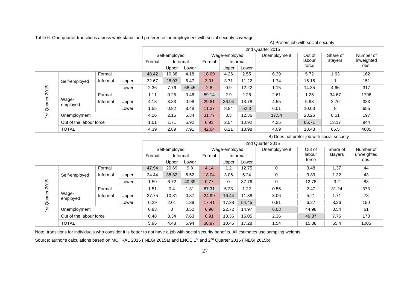Table 6: One-quarter transitions across work status and preference for employment with social security coverage

|             |                         |          |       | 2nd Quarter 2015 |               |       |        |               |       |              |                 |          |                    |
|-------------|-------------------------|----------|-------|------------------|---------------|-------|--------|---------------|-------|--------------|-----------------|----------|--------------------|
|             |                         |          |       |                  | Self-employed |       |        | Wage-employed |       | Unemployment | Out of          | Share of | Number of          |
|             |                         |          |       | Formal           | Informal      |       | Formal | Informal      |       |              | labour<br>force | stayers  | inweighted<br>obs. |
|             |                         |          |       |                  | Upper         | Lower |        | Upper         | Lower |              |                 |          |                    |
|             |                         | Formal   |       | 48.42            | 10.38         | 4.18  | 18.09  | 4.26          | 2.55  | 6.39         | 5.72            | 1.63     | 162                |
|             | Self-employed           | Informal | Upper | 32.67            | 26.03         | 5.47  | 3.01   | 3.71          | 11.22 | 1.74         | 16.16           |          | 151                |
| 2015        |                         |          | Lower | 2.36             | 7.76          | 58.45 | 2.8    | 0.9           | 12.22 | 1.15         | 14.35           | 4.66     | 317                |
|             |                         | Formal   |       | 1.11             | 0.25          | 0.46  | 89.14  | 2.9           | 2.26  | 2.61         | 1.25            | 34.67    | 1796               |
|             | Wage-<br>employed       | Informal | Upper | 4.18             | 3.83          | 0.98  | 29.81  | 36.94         | 13.78 | 4.55         | 5.93            | 2.76     | 383                |
| 1st Quarter |                         |          | Lower | 1.55             | 0.82          | 8.48  | 11.37  | 8.84          | 52.3  | 6.01         | 10.63           | 8        | 655                |
|             | Unemployment            |          |       | 4.26             | 2.16          | 5.34  | 31.77  | 3.3           | 12.36 | 17.54        | 23.26           | 0.61     | 197                |
|             | Out of the labour force |          |       | 1.01             | 1.71          | 5.92  | 6.93   | 2.54          | 10.92 | 4.25         | 66.71           | 13.17    | 944                |
|             | <b>TOTAL</b>            |          |       | 4.39             | 2.89          | 7.91  | 42.04  | 6.21          | 13.98 | 4.09         | 18.48           | 66.5     | 4605               |

<span id="page-26-1"></span>B) Does not prefer job with social security

A) Prefers job with social security

<span id="page-26-0"></span>

|             |                         |          |       |        |               |       |        |               | 2nd Quarter 2015 |              |        |          |            |
|-------------|-------------------------|----------|-------|--------|---------------|-------|--------|---------------|------------------|--------------|--------|----------|------------|
|             |                         |          |       |        | Self-employed |       |        | Wage-employed |                  | Unemployment | Out of | Share of | Number of  |
|             |                         |          |       | Formal | Informal      |       | Formal |               | Informal         |              | labour | stayers  | unweighted |
|             |                         |          |       |        | Upper         | Lower |        | Upper         | Lower            |              | force  |          | obs.       |
|             |                         | Formal   |       | 47.94  | 20.69         | 9.8   | 4.14   | 1.2           | 12.75            | 0            | 3.48   | 1.37     | 44         |
|             | Self-employed           | Informal | Upper | 24.44  | 38.82         | 5.52  | 18.04  | 3.06          | 6.24             | $\mathbf 0$  | 3.89   | 1.32     | 43         |
| 2015        |                         |          | Lower | 1.59   | 6.72          | 40.39 | 0.77   | $\mathbf 0$   | 37.76            | $\mathbf 0$  | 12.78  | 3.2      | 83         |
|             |                         | Formal   |       | 1.51   | 0.4           | .31   | 87.31  | 5.23          | .22              | 0.56         | 2.47   | 31.24    | 373        |
| 1st Quarter | Wage-<br>employed       | Informal | Upper | 27.75  | 10.31         | 0.87  | 24.99  | 16.44         | 11.38            | 3.06         | 5.21   | 1.71     | 78         |
|             |                         |          | Lower | 0.29   | 2.01          | .39   | 17.41  | 17.38         | 54.45            | 0.81         | 6.27   | 8.26     | 150        |
|             | Unemployment            |          | 0.83  | 0      | 3.52          | 6.96  | 22.72  | 14.97         | 6.03             | 44.98        | 0.54   | 61       |            |
|             | Out of the labour force |          |       | 0.48   | 3.34          | 7.63  | 6.91   | 13.36         | 16.05            | 2.36         | 49.87  | 7.76     | 173        |
|             | <b>TOTAL</b>            |          |       | 5.95   | 4.48          | 5.94  | 38.97  | 10.46         | 17.28            | 1.54         | 15.38  | 55.4     | 1005       |

Note: transitions for individuals who consider it is better to not have a job with social security benefits. All estimates use sampling weights.

Source: author's calculations based on MOTRAL 2015 (INEGI 2015a) and ENOE 1<sup>st</sup> and 2<sup>nd</sup> Quarter 2015 (INEGI 2015b).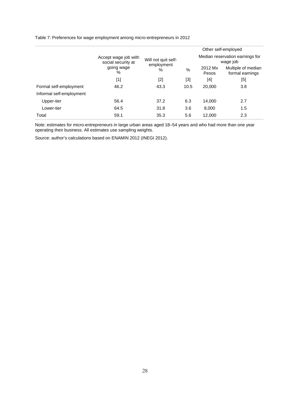Table 7: Preferences for wage employment among micro-entrepreneurs in 2012

|                          |                                            |                     |       |                  | Other self-employed                         |
|--------------------------|--------------------------------------------|---------------------|-------|------------------|---------------------------------------------|
|                          | Accept wage job with<br>social security at | Will not quit self- |       |                  | Median reservation earnings for<br>wage job |
|                          | going wage<br>%                            | employment<br>%     | %     | 2012 Mx<br>Pesos | Multiple of median<br>formal earnings       |
|                          | [1]                                        | $[2]$               | $[3]$ | [4]              | [5]                                         |
| Formal self-employment   | 46.2                                       | 43.3                | 10.5  | 20,000           | 3.8                                         |
| Informal self-employment |                                            |                     |       |                  |                                             |
| Upper-tier               | 56.4                                       | 37.2                | 6.3   | 14.000           | 2.7                                         |
| Lower-tier               | 64.5                                       | 31.8                | 3.6   | 8,000            | 1.5                                         |
| Total                    | 59.1                                       | 35.3                | 5.6   | 12,000           | 2.3                                         |

Note: estimates for micro-entrepreneurs in large urban areas aged 18–54 years and who had more than one year operating their business. All estimates use sampling weights.

Source: author's calculations based on ENAMIN 2012 (INEGI 2012).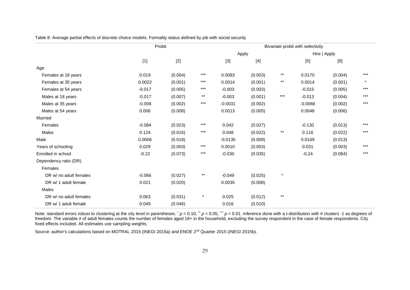Table 8: Average partial effects of discrete choice models. Formality status defined by job with social security

|                        | Probit   | Bivariate probit with selectivity |                   |           |         |              |           |              |         |
|------------------------|----------|-----------------------------------|-------------------|-----------|---------|--------------|-----------|--------------|---------|
|                        |          |                                   |                   |           | Apply   |              |           | Hire   Apply |         |
|                        | $[1]$    | $[2]$                             |                   | $[3]$     | $[4]$   |              | [5]       | [6]          |         |
| Age                    |          |                                   |                   |           |         |              |           |              |         |
| Females at 18 years    | 0.019    | (0.004)                           | $***$             | 0.0083    | (0.003) | $***$        | 0.0170    | (0.004)      | $***$   |
| Females at 35 years    | 0.0022   | (0.001)                           | $\star\star\star$ | 0.0014    | (0.001) | $***$        | 0.0014    | (0.001)      | $\star$ |
| Females at 54 years    | $-0.017$ | (0.005)                           | ***               | $-0.003$  | (0.003) |              | $-0.015$  | (0.005)      | ***     |
| Males at 18 years      | $-0.017$ | (0.007)                           | $^{\star\star}$   | $-0.003$  | (0.001) | $***$        | $-0.013$  | (0.004)      | $***$   |
| Males at 35 years      | $-0.008$ | (0.002)                           | $***$             | $-0.0031$ | (0.002) |              | $-0.0066$ | (0.002)      | ***     |
| Males at 54 years      | 0.006    | (0.008)                           |                   | 0.0013    | (0.005) |              | 0.0048    | (0.006)      |         |
| Married                |          |                                   |                   |           |         |              |           |              |         |
| Females                | $-0.084$ | (0.023)                           | $\star\star\star$ | 0.042     | (0.027) |              | $-0.130$  | (0.013)      | ***     |
| Males                  | 0.124    | (0.016)                           | $***$             | 0.048     | (0.022) | $***$        | 0.116     | (0.022)      | $***$   |
| Male                   | 0.0006   | (0.018)                           |                   | $-0.0135$ | (0.009) |              | 0.0169    | (0.013)      |         |
| Years of schooling     | 0.029    | (0.003)                           | $***$             | 0.0010    | (0.003) |              | 0.031     | (0.003)      | $***$   |
| Enrolled in school     | $-0.22$  | (0.073)                           | $***$             | $-0.030$  | (0.035) |              | $-0.24$   | (0.084)      | ***     |
| Dependency ratio (DR)  |          |                                   |                   |           |         |              |           |              |         |
| Females                |          |                                   |                   |           |         |              |           |              |         |
| DR w/ no adult females | $-0.066$ | (0.027)                           | $***$             | $-0.049$  | (0.025) | $\star$      |           |              |         |
| DR w/ 1 adult female   | 0.021    | (0.020)                           |                   | 0.0035    | (0.008) |              |           |              |         |
| Males                  |          |                                   |                   |           |         |              |           |              |         |
| DR w/ no adult females | 0.063    | (0.031)                           | $\star$           | 0.025     | (0.012) | $\star\star$ |           |              |         |
| DR w/ 1 adult female   | 0.049    | (0.046)                           |                   | 0.016     | (0.010) |              |           |              |         |

<span id="page-28-0"></span>Note: standard errors robust to clustering at the city level in parentheses. \*  $p < 0.10$ , "\*  $p < 0.05$ , ""  $p < 0.01$ . Inference done with a t-distribution with # clusters -1 as degrees of freedom. The variable # of adult females counts the number of females aged 18+ in the household, excluding the survey respondent in the case of female respondents. City fixed effects included. All estimates use sampling weights.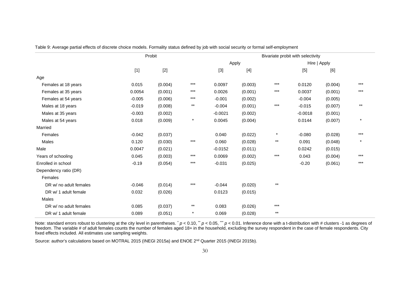|                        | Probit   |         | Bivariate probit with selectivity |           |         |                 |           |              |         |
|------------------------|----------|---------|-----------------------------------|-----------|---------|-----------------|-----------|--------------|---------|
|                        |          |         |                                   |           | Apply   |                 |           | Hire   Apply |         |
|                        | $[1]$    | $[2]$   |                                   | $[3]$     | $[4]$   |                 | $[5]$     | [6]          |         |
| Age                    |          |         |                                   |           |         |                 |           |              |         |
| Females at 18 years    | 0.015    | (0.004) | $***$                             | 0.0097    | (0.003) | $***$           | 0.0120    | (0.004)      | $***$   |
| Females at 35 years    | 0.0054   | (0.001) | $***$                             | 0.0026    | (0.001) | $***$           | 0.0037    | (0.001)      | ***     |
| Females at 54 years    | $-0.005$ | (0.006) | $***$                             | $-0.001$  | (0.002) |                 | $-0.004$  | (0.005)      |         |
| Males at 18 years      | $-0.019$ | (0.008) | $***$                             | $-0.004$  | (0.001) | $***$           | $-0.015$  | (0.007)      | $***$   |
| Males at 35 years      | $-0.003$ | (0.002) |                                   | $-0.0021$ | (0.002) |                 | $-0.0018$ | (0.001)      |         |
| Males at 54 years      | 0.018    | (0.009) | $^\star$                          | 0.0045    | (0.004) |                 | 0.0144    | (0.007)      |         |
| Married                |          |         |                                   |           |         |                 |           |              |         |
| Females                | $-0.042$ | (0.037) |                                   | 0.040     | (0.022) | $\star$         | $-0.080$  | (0.028)      | $***$   |
| Males                  | 0.120    | (0.030) | $***$                             | 0.060     | (0.028) | $^{\star\star}$ | 0.091     | (0.048)      | $\star$ |
| Male                   | 0.0047   | (0.021) |                                   | $-0.0152$ | (0.011) |                 | 0.0242    | (0.015)      |         |
| Years of schooling     | 0.045    | (0.003) | $***$                             | 0.0069    | (0.002) | $***$           | 0.043     | (0.004)      | $***$   |
| Enrolled in school     | $-0.19$  | (0.054) | $***$                             | $-0.031$  | (0.025) |                 | $-0.20$   | (0.061)      | ***     |
| Dependency ratio (DR)  |          |         |                                   |           |         |                 |           |              |         |
| Females                |          |         |                                   |           |         |                 |           |              |         |
| DR w/ no adult females | $-0.046$ | (0.014) | $***$                             | $-0.044$  | (0.020) | $***$           |           |              |         |
| DR w/ 1 adult female   | 0.032    | (0.026) |                                   | 0.0123    | (0.015) |                 |           |              |         |
| Males                  |          |         |                                   |           |         |                 |           |              |         |
| DR w/ no adult females | 0.085    | (0.037) | $***$                             | 0.083     | (0.026) | $***$           |           |              |         |
| DR w/ 1 adult female   | 0.089    | (0.051) | $^\star$                          | 0.069     | (0.028) | $\star\star$    |           |              |         |

Table 9: Average partial effects of discrete choice models. Formality status defined by job with social security or formal self-employment

<span id="page-29-0"></span>Note: standard errors robust to clustering at the city level in parentheses. \*  $p < 0.10$ , "\*  $p < 0.05$ , ""  $p < 0.01$ . Inference done with a t-distribution with # clusters -1 as degrees of freedom. The variable # of adult females counts the number of females aged 18+ in the household, excluding the survey respondent in the case of female respondents. City fixed effects included. All estimates use sampling weights.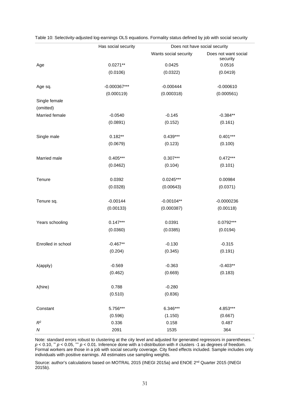|                            | Has social security |                       | Does not have social security    |
|----------------------------|---------------------|-----------------------|----------------------------------|
|                            |                     | Wants social security | Does not want social<br>security |
| Age                        | $0.0271**$          | 0.0425                | 0.0516                           |
|                            | (0.0106)            | (0.0322)              | (0.0419)                         |
| Age sq.                    | $-0.000367***$      | $-0.000444$           | $-0.000610$                      |
|                            | (0.000119)          | (0.000318)            | (0.000561)                       |
| Single female<br>(omitted) |                     |                       |                                  |
| Married female             | $-0.0540$           | $-0.145$              | $-0.384**$                       |
|                            | (0.0891)            | (0.152)               | (0.161)                          |
| Single male                | $0.182**$           | $0.439***$            | $0.401***$                       |
|                            | (0.0679)            | (0.123)               | (0.100)                          |
| Married male               | $0.405***$          | $0.307***$            | $0.472***$                       |
|                            | (0.0462)            | (0.104)               | (0.101)                          |
| Tenure                     | 0.0392              | $0.0245***$           | 0.00984                          |
|                            | (0.0328)            | (0.00643)             | (0.0371)                         |
| Tenure sq.                 | $-0.00144$          | $-0.00104**$          | $-0.0000236$                     |
|                            | (0.00133)           | (0.000387)            | (0.00118)                        |
| Years schooling            | $0.147***$          | 0.0391                | $0.0792***$                      |
|                            | (0.0360)            | (0.0385)              | (0.0194)                         |
| Enrolled in school         | $-0.467**$          | $-0.130$              | $-0.315$                         |
|                            | (0.204)             | (0.345)               | (0.191)                          |
| $\lambda$ (apply)          | $-0.569$            | $-0.363$              | $-0.403**$                       |
|                            | (0.462)             | (0.669)               | (0.183)                          |
| $\lambda$ (hire)           | 0.788               | $-0.280$              |                                  |
|                            | (0.510)             | (0.836)               |                                  |
| Constant                   | 5.756***            | 6.346***              | 4.853***                         |
|                            | (0.596)             | (1.150)               | (0.667)                          |
| $R^2$                      | 0.336               | 0.158                 | 0.487                            |
| N                          | 2091                | 1535                  | 364                              |

<span id="page-30-0"></span>Table 10: Selectivity-adjusted log-earnings OLS equations. Formality status defined by job with social security

Note: standard errors robust to clustering at the city level and adjusted for generated regressors in parentheses.  $\dot{\,}$  $p$  < 0.10,  $\degree$  *p* < 0.05,  $\degree$  *p* < 0.01. Inference done with a t-distribution with # clusters -1 as degrees of freedom. Formal workers are those in a job with social security coverage. City fixed effects included. Sample includes only individuals with positive earnings. All estimates use sampling weights.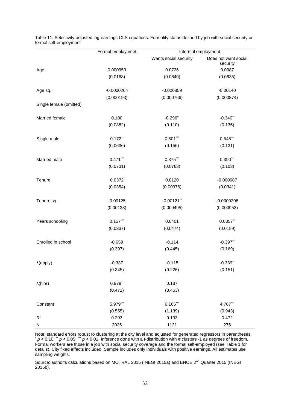|                         | Formal employmnet | Informal employment   |                                  |  |  |  |
|-------------------------|-------------------|-----------------------|----------------------------------|--|--|--|
|                         |                   | Wants social security | Does not want social<br>security |  |  |  |
| Age                     | 0.000953          | 0.0726                | 0.0987                           |  |  |  |
|                         | (0.0168)          | (0.0640)              | (0.0635)                         |  |  |  |
| Age sq.                 | $-0.0000264$      | $-0.000859$           | $-0.00140$                       |  |  |  |
|                         | (0.000193)        | (0.000766)            | (0.000874)                       |  |  |  |
| Single female (omitted) |                   |                       |                                  |  |  |  |
| Married female          | 0.100             | $-0.296$ **           | $-0.340$ **                      |  |  |  |
|                         | (0.0882)          | (0.110)               | (0.135)                          |  |  |  |
| Single male             | $0.172$ **        | $0.501***$            | $0.545***$                       |  |  |  |
|                         | (0.0636)          | (0.156)               | (0.131)                          |  |  |  |
| Married male            | $0.471***$        | $0.375***$            | $0.390***$                       |  |  |  |
|                         | (0.0731)          | (0.0763)              | (0.103)                          |  |  |  |
| Tenure                  | 0.0372            | 0.0120                | $-0.000687$                      |  |  |  |
|                         | (0.0354)          | (0.00976)             | (0.0341)                         |  |  |  |
| Tenure sq.              | $-0.00125$        | $-0.00121$ **         | $-0.0000208$                     |  |  |  |
|                         | (0.00128)         | (0.000495)            | (0.000953)                       |  |  |  |
| Years schooling         | $0.157***$        | 0.0401                | $0.0357$ **                      |  |  |  |
|                         | (0.0337)          | (0.0474)              | (0.0159)                         |  |  |  |
| Enrolled in school      | $-0.659$          | $-0.114$              | $-0.397$ **                      |  |  |  |
|                         | (0.397)           | (0.445)               | (0.169)                          |  |  |  |
| $\lambda$ (apply)       | $-0.337$          | $-0.115$              | $-0.339$ **                      |  |  |  |
|                         | (0.345)           | (0.226)               | (0.151)                          |  |  |  |
| $\lambda$ (hire)        | $0.979**$         | 0.187                 |                                  |  |  |  |
|                         | (0.471)           | (0.453)               |                                  |  |  |  |
| Constant                | 5.979***          | $6.165***$            | 4.767***                         |  |  |  |
|                         | (0.555)           | (1.139)               | (0.943)                          |  |  |  |
| $R^2$                   | 0.293             | 0.193                 | 0.472                            |  |  |  |
| ${\sf N}$               | 2026              | 1131                  | 276                              |  |  |  |

<span id="page-31-0"></span>Table 11: Selectivity-adjusted log-earnings OLS equations. Formality status defined by job with social security or formal self-employment

Note: standard errors robust to clustering at the city level and adjusted for generated regressors in parentheses.<br>\*  $p < 0.10,$  \*\*  $p < 0.05,$  \*\*\*  $p < 0.01$ . Inference done with a t-distribution with # clusters -1 as degre Formal workers are those in a job with social security coverage and the formal self-employed (se[e Table 1](#page-21-0) for details). City fixed effects included. Sample includes only individuals with positive earnings. All estimates use sampling weights.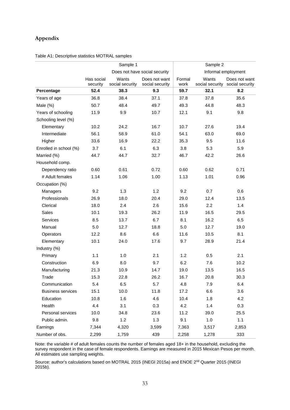# **Appendix**

|                          | Sample 1                      |                          | Sample 2                         |                     |                          |                                  |
|--------------------------|-------------------------------|--------------------------|----------------------------------|---------------------|--------------------------|----------------------------------|
|                          | Does not have social security |                          |                                  | Informal employment |                          |                                  |
|                          | Has social<br>security        | Wants<br>social security | Does not want<br>social security | Formal<br>work      | Wants<br>social security | Does not want<br>social security |
| Percentage               | 52.4                          | 38.3                     | 9.3                              | 59.7                | 32.1                     | 8.2                              |
| Years of age             | 36.8                          | 38.4                     | 37.1                             | 37.8                | 37.8                     | 35.6                             |
| Male $(\%)$              | 50.7                          | 48.4                     | 49.7                             | 49.3                | 44.8                     | 48.3                             |
| Years of schooling       | 11.9                          | 9.9                      | 10.7                             | 12.1                | 9.1                      | 9.8                              |
| Schooling level (%)      |                               |                          |                                  |                     |                          |                                  |
| Elementary               | 10.2                          | 24.2                     | 16.7                             | 10.7                | 27.6                     | 19.4                             |
| Intermediate             | 56.1                          | 58.9                     | 61.0                             | 54.1                | 63.0                     | 69.0                             |
| Higher                   | 33.6                          | 16.9                     | 22.2                             | 35.3                | 9.5                      | 11.6                             |
| Enrolled in school (%)   | 3.7                           | 6.1                      | 6.3                              | 3.8                 | 5.3                      | 5.9                              |
| Married (%)              | 44.7                          | 44.7                     | 32.7                             | 46.7                | 42.2                     | 26.6                             |
| Household comp.          |                               |                          |                                  |                     |                          |                                  |
| Dependency ratio         | 0.60                          | 0.61                     | 0.72                             | 0.60                | 0.62                     | 0.71                             |
| # Adult females          | 1.14                          | 1.06                     | 1.00                             | 1.13                | 1.01                     | 0.96                             |
| Occupation (%)           |                               |                          |                                  |                     |                          |                                  |
| Managers                 | 9.2                           | 1.3                      | 1.2                              | 9.2                 | 0.7                      | 0.6                              |
| Professionals            | 26.9                          | 18.0                     | 20.4                             | 29.0                | 12.4                     | 13.5                             |
| Clerical                 | 18.0                          | 2.4                      | 2.6                              | 15.6                | 2.2                      | 1.4                              |
| Sales                    | 10.1                          | 19.3                     | 26.2                             | 11.9                | 16.5                     | 29.5                             |
| Services                 | 8.5                           | 13.7                     | 6.7                              | 8.1                 | 16.2                     | 6.5                              |
| Manual                   | 5.0                           | 12.7                     | 18.8                             | 5.0                 | 12.7                     | 19.0                             |
| Operators                | 12.2                          | 8.6                      | 6.6                              | 11.6                | 10.5                     | 8.1                              |
| Elementary               | 10.1                          | 24.0                     | 17.6                             | 9.7                 | 28.9                     | 21.4                             |
| Industry (%)             |                               |                          |                                  |                     |                          |                                  |
| Primary                  | 1.1                           | 1.0                      | 2.1                              | 1.2                 | 0.5                      | 2.1                              |
| Construction             | 6.9                           | 8.0                      | 9.7                              | 6.2                 | 7.6                      | 10.2                             |
| Manufacturing            | 21.3                          | 10.9                     | 14.7                             | 19.0                | 13.5                     | 16.5                             |
| Trade                    | 15.3                          | 22.8                     | 26.2                             | 16.7                | 20.8                     | 30.3                             |
| Communication            | 5.4                           | 6.5                      | 5.7                              | 4.8                 | 7.9                      | 6.4                              |
| <b>Business services</b> | 15.1                          | 10.0                     | 11.8                             | 17.2                | 6.6                      | 3.6                              |
| Education                | 10.8                          | 1.6                      | 4.6                              | 10.4                | 1.8                      | 4.2                              |
| Health                   | 4.4                           | 3.1                      | 0.3                              | 4.2                 | 1.4                      | 0.3                              |
| Personal services        | 10.0                          | 34.8                     | 23.6                             | 11.2                | 39.0                     | 25.5                             |
| Public admin.            | 9.8                           | 1.2                      | 1.3                              | 9.1                 | 1.0                      | 1.1                              |
| Earnings                 | 7,344                         | 4,320                    | 3,599                            | 7,363               | 3,517                    | 2,853                            |
| Number of obs.           | 2,299                         | 1,759                    | 439                              | 2,258               | 1,278                    | 333                              |

Table A1: Descriptive statistics MOTRAL samples

Note: the variable # of adult females counts the number of females aged 18+ in the household, excluding the survey respondent in the case of female respondents. Earnings are measured in 2015 Mexican Pesos per month. All estimates use sampling weights.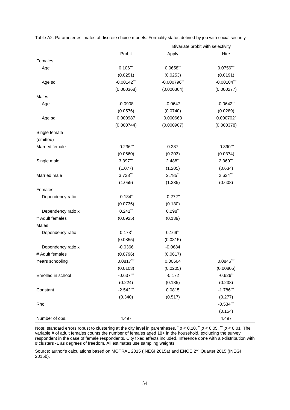|                    | Bivariate probit with selectivity |               |               |
|--------------------|-----------------------------------|---------------|---------------|
|                    | Probit                            | Apply         | Hire          |
| Females            |                                   |               |               |
| Age                | $0.106***$                        | $0.0658$ **   | $0.0756***$   |
|                    | (0.0251)                          | (0.0253)      | (0.0191)      |
| Age sq.            | $-0.00142***$                     | $-0.000796**$ | $-0.00104***$ |
|                    | (0.000368)                        | (0.000364)    | (0.000277)    |
| Males              |                                   |               |               |
| Age                | $-0.0908$                         | $-0.0647$     | $-0.0642$ **  |
|                    | (0.0576)                          | (0.0740)      | (0.0289)      |
| Age sq.            | 0.000987                          | 0.000663      | 0.000702*     |
|                    | (0.000744)                        | (0.000907)    | (0.000378)    |
| Single female      |                                   |               |               |
| (omitted)          |                                   |               |               |
| Married female     | $-0.236***$                       | 0.287         | $-0.390***$   |
|                    | (0.0660)                          | (0.203)       | (0.0374)      |
| Single male        | 3.397***                          | 2.488**       | $2.360***$    |
|                    | (1.077)                           | (1.205)       | (0.634)       |
| Married male       | 3.738***                          | 2.785**       | 2.634***      |
|                    | (1.059)                           | (1.335)       | (0.608)       |
| Females            |                                   |               |               |
| Dependency ratio   | $-0.184$ **                       | $-0.272$ **   |               |
|                    | (0.0736)                          | (0.130)       |               |
| Dependency ratio x | $0.241$ **                        | $0.298**$     |               |
| # Adult females    | (0.0925)                          | (0.139)       |               |
| Males              |                                   |               |               |
| Dependency ratio   | $0.173^{*}$                       | $0.169$ **    |               |
|                    | (0.0855)                          | (0.0815)      |               |
| Dependency ratio x | $-0.0366$                         | $-0.0684$     |               |
| # Adult females    | (0.0796)                          | (0.0617)      |               |
| Years schooling    | $0.0817***$                       | 0.00664       | $0.0846***$   |
|                    | (0.0103)                          | (0.0205)      | (0.00805)     |
| Enrolled in school | $-0.637***$                       | $-0.172$      | $-0.626$ **   |
|                    | (0.224)                           | (0.185)       | (0.238)       |
| Constant           | $-2.542***$                       | 0.0815        | $-1.786***$   |
|                    | (0.340)                           | (0.517)       | (0.277)       |
| Rho                |                                   |               | $-0.534***$   |
|                    |                                   |               | (0.154)       |
| Number of obs.     | 4,497                             |               | 4,497         |

Table A2: Parameter estimates of discrete choice models. Formality status defined by job with social security

Note: standard errors robust to clustering at the city level in parentheses.  $p < 0.10$ ,  $p < 0.05$ ,  $p < 0.01$ . The variable # of adult females counts the number of females aged 18+ in the household, excluding the survey respondent in the case of female respondents. City fixed effects included. Inference done with a t-distribution with # clusters -1 as degrees of freedom. All estimates use sampling weights.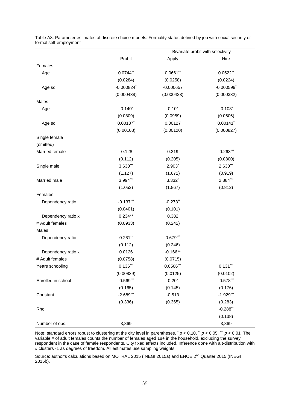|                    | Bivariate probit with selectivity |             |                          |
|--------------------|-----------------------------------|-------------|--------------------------|
|                    | Probit                            | Apply       | Hire                     |
| Females            |                                   |             |                          |
| Age                | $0.0744$ **                       | $0.0661$ ** | $0.0522$ **              |
|                    | (0.0284)                          | (0.0258)    | (0.0224)                 |
| Age sq.            | $-0.000824$ *                     | $-0.000657$ | $-0.000599$ <sup>*</sup> |
|                    | (0.000438)                        | (0.000423)  | (0.000332)               |
| Males              |                                   |             |                          |
| Age                | $-0.140$ <sup>*</sup>             | $-0.101$    | $-0.103$ <sup>*</sup>    |
|                    | (0.0809)                          | (0.0959)    | (0.0606)                 |
| Age sq.            | $0.00187$ *                       | 0.00127     | $0.00141$ *              |
|                    | (0.00108)                         | (0.00120)   | (0.000827)               |
| Single female      |                                   |             |                          |
| (omitted)          |                                   |             |                          |
| Married female     | $-0.128$                          | 0.319       | $-0.263***$              |
|                    | (0.112)                           | (0.205)     | (0.0800)                 |
| Single male        | 3.630***                          | $2.903^*$   | $2.630***$               |
|                    | (1.127)                           | (1.671)     | (0.919)                  |
| Married male       | 3.994***                          | 3.332*      | 2.884***                 |
|                    | (1.052)                           | (1.867)     | (0.812)                  |
| Females            |                                   |             |                          |
| Dependency ratio   | $-0.137***$                       | $-0.273$ ** |                          |
|                    | (0.0401)                          | (0.101)     |                          |
| Dependency ratio x | $0.234**$                         | 0.382       |                          |
| # Adult females    | (0.0933)                          | (0.242)     |                          |
| Males              |                                   |             |                          |
| Dependency ratio   | $0.261$ **                        | $0.679***$  |                          |
|                    | (0.112)                           | (0.246)     |                          |
| Dependency ratio x | 0.0126                            | $-0.166**$  |                          |
| # Adult females    | (0.0758)                          | (0.0715)    |                          |
| Years schooling    | $0.136***$                        | $0.0506***$ | $0.131***$               |
|                    | (0.00839)                         | (0.0125)    | (0.0102)                 |
| Enrolled in school | $-0.569***$                       | $-0.201$    | $-0.578***$              |
|                    | (0.165)                           | (0.145)     | (0.176)                  |
| Constant           | $-2.689***$                       | $-0.513$    | $-1.929***$              |
|                    | (0.336)                           | (0.365)     | (0.283)                  |
| Rho                |                                   |             | $-0.288$ **              |
|                    |                                   |             | (0.138)                  |
| Number of obs.     | 3,869                             |             | 3,869                    |

Table A3: Parameter estimates of discrete choice models. Formality status defined by job with social security or formal self-employment

Note: standard errors robust to clustering at the city level in parentheses. \*  $p < 0.10$ , \*  $p < 0.05$ , \*\*\*  $p < 0.01$ . The variable # of adult females counts the number of females aged 18+ in the household, excluding the survey respondent in the case of female respondents. City fixed effects included. Inference done with a t-distribution with # clusters -1 as degrees of freedom. All estimates use sampling weights.